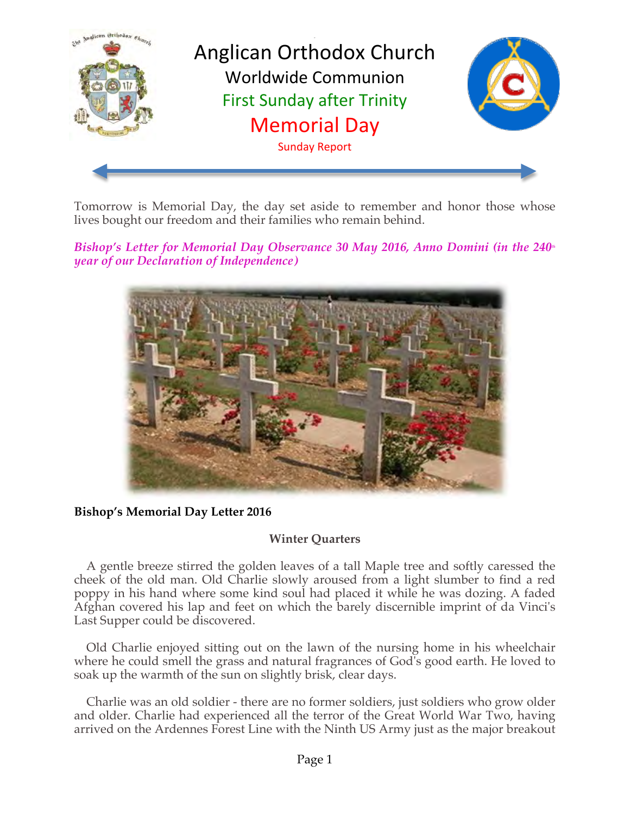

Tomorrow is Memorial Day, the day set aside to remember and honor those whose lives bought our freedom and their families who remain behind.

*Bishop's Letter for Memorial Day Observance 30 May 2016, Anno Domini (in the 240<sup>th</sup> year of our Declaration of Independence)*



#### **Bishop's Memorial Day Letter 2016**

# **Winter Quarters**

 A gentle breeze stirred the golden leaves of a tall Maple tree and softly caressed the cheek of the old man. Old Charlie slowly aroused from a light slumber to find a red poppy in his hand where some kind soul had placed it while he was dozing. A faded Afghan covered his lap and feet on which the barely discernible imprint of da Vinci's Last Supper could be discovered.

 Old Charlie enjoyed sitting out on the lawn of the nursing home in his wheelchair where he could smell the grass and natural fragrances of God's good earth. He loved to soak up the warmth of the sun on slightly brisk, clear days.

 Charlie was an old soldier - there are no former soldiers, just soldiers who grow older and older. Charlie had experienced all the terror of the Great World War Two, having arrived on the Ardennes Forest Line with the Ninth US Army just as the major breakout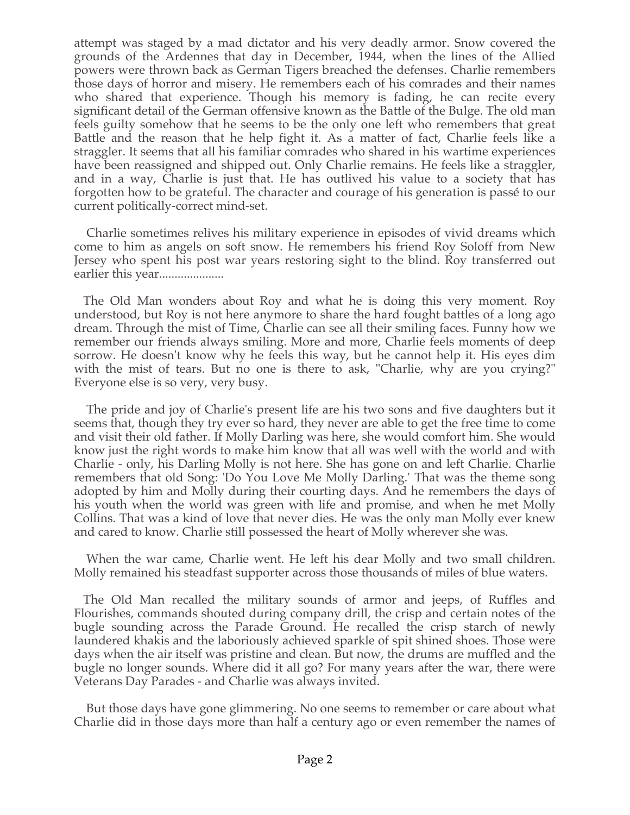attempt was staged by a mad dictator and his very deadly armor. Snow covered the grounds of the Ardennes that day in December, 1944, when the lines of the Allied powers were thrown back as German Tigers breached the defenses. Charlie remembers those days of horror and misery. He remembers each of his comrades and their names who shared that experience. Though his memory is fading, he can recite every significant detail of the German offensive known as the Battle of the Bulge. The old man feels guilty somehow that he seems to be the only one left who remembers that great Battle and the reason that he help fight it. As a matter of fact, Charlie feels like a straggler. It seems that all his familiar comrades who shared in his wartime experiences have been reassigned and shipped out. Only Charlie remains. He feels like a straggler, and in a way, Charlie is just that. He has outlived his value to a society that has forgotten how to be grateful. The character and courage of his generation is passé to our current politically-correct mind-set.

 Charlie sometimes relives his military experience in episodes of vivid dreams which come to him as angels on soft snow. He remembers his friend Roy Soloff from New Jersey who spent his post war years restoring sight to the blind. Roy transferred out earlier this year.....................

 The Old Man wonders about Roy and what he is doing this very moment. Roy understood, but Roy is not here anymore to share the hard fought battles of a long ago dream. Through the mist of Time, Charlie can see all their smiling faces. Funny how we remember our friends always smiling. More and more, Charlie feels moments of deep sorrow. He doesn't know why he feels this way, but he cannot help it. His eyes dim with the mist of tears. But no one is there to ask, "Charlie, why are you crying?" Everyone else is so very, very busy.

 The pride and joy of Charlie's present life are his two sons and five daughters but it seems that, though they try ever so hard, they never are able to get the free time to come and visit their old father. If Molly Darling was here, she would comfort him. She would know just the right words to make him know that all was well with the world and with Charlie - only, his Darling Molly is not here. She has gone on and left Charlie. Charlie remembers that old Song: 'Do You Love Me Molly Darling.' That was the theme song adopted by him and Molly during their courting days. And he remembers the days of his youth when the world was green with life and promise, and when he met Molly Collins. That was a kind of love that never dies. He was the only man Molly ever knew and cared to know. Charlie still possessed the heart of Molly wherever she was.

 When the war came, Charlie went. He left his dear Molly and two small children. Molly remained his steadfast supporter across those thousands of miles of blue waters.

 The Old Man recalled the military sounds of armor and jeeps, of Ruffles and Flourishes, commands shouted during company drill, the crisp and certain notes of the bugle sounding across the Parade Ground. He recalled the crisp starch of newly laundered khakis and the laboriously achieved sparkle of spit shined shoes. Those were days when the air itself was pristine and clean. But now, the drums are muffled and the bugle no longer sounds. Where did it all go? For many years after the war, there were Veterans Day Parades - and Charlie was always invited.

 But those days have gone glimmering. No one seems to remember or care about what Charlie did in those days more than half a century ago or even remember the names of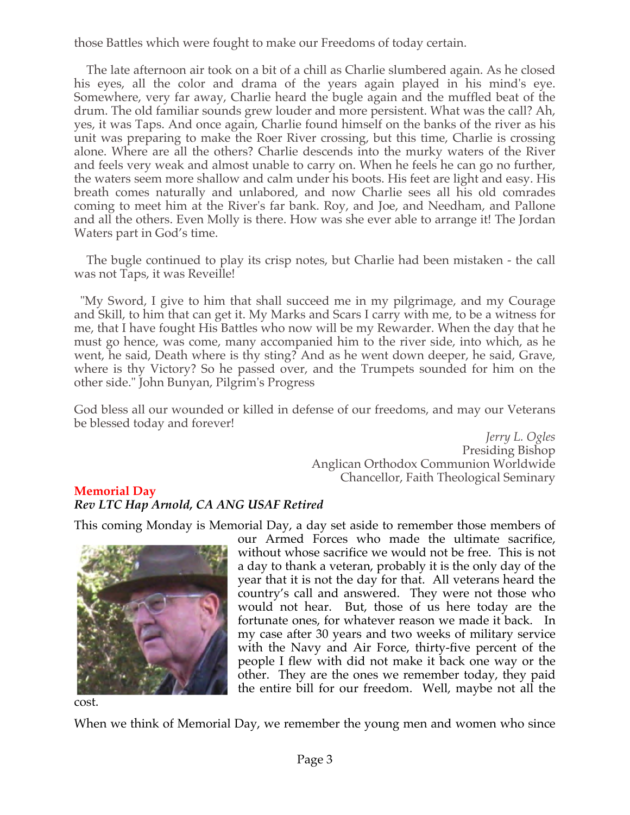those Battles which were fought to make our Freedoms of today certain.

 The late afternoon air took on a bit of a chill as Charlie slumbered again. As he closed his eyes, all the color and drama of the years again played in his mind's eye. Somewhere, very far away, Charlie heard the bugle again and the muffled beat of the drum. The old familiar sounds grew louder and more persistent. What was the call? Ah, yes, it was Taps. And once again, Charlie found himself on the banks of the river as his unit was preparing to make the Roer River crossing, but this time, Charlie is crossing alone. Where are all the others? Charlie descends into the murky waters of the River and feels very weak and almost unable to carry on. When he feels he can go no further, the waters seem more shallow and calm under his boots. His feet are light and easy. His breath comes naturally and unlabored, and now Charlie sees all his old comrades coming to meet him at the River's far bank. Roy, and Joe, and Needham, and Pallone and all the others. Even Molly is there. How was she ever able to arrange it! The Jordan Waters part in God's time.

 The bugle continued to play its crisp notes, but Charlie had been mistaken - the call was not Taps, it was Reveille!

 "My Sword, I give to him that shall succeed me in my pilgrimage, and my Courage and Skill, to him that can get it. My Marks and Scars I carry with me, to be a witness for me, that I have fought His Battles who now will be my Rewarder. When the day that he must go hence, was come, many accompanied him to the river side, into which, as he went, he said, Death where is thy sting? And as he went down deeper, he said, Grave, where is thy Victory? So he passed over, and the Trumpets sounded for him on the other side." John Bunyan, Pilgrim's Progress

God bless all our wounded or killed in defense of our freedoms, and may our Veterans be blessed today and forever!

> *Jerry L. Ogles* Presiding Bishop Anglican Orthodox Communion Worldwide Chancellor, Faith Theological Seminary

# **Memorial Day**

# *Rev LTC Hap Arnold, CA ANG USAF Retired*

This coming Monday is Memorial Day, a day set aside to remember those members of



our Armed Forces who made the ultimate sacrifice, without whose sacrifice we would not be free. This is not a day to thank a veteran, probably it is the only day of the year that it is not the day for that. All veterans heard the country's call and answered. They were not those who would not hear. But, those of us here today are the fortunate ones, for whatever reason we made it back. In my case after 30 years and two weeks of military service with the Navy and Air Force, thirty-five percent of the people I flew with did not make it back one way or the other. They are the ones we remember today, they paid the entire bill for our freedom. Well, maybe not all the

cost.

When we think of Memorial Day, we remember the young men and women who since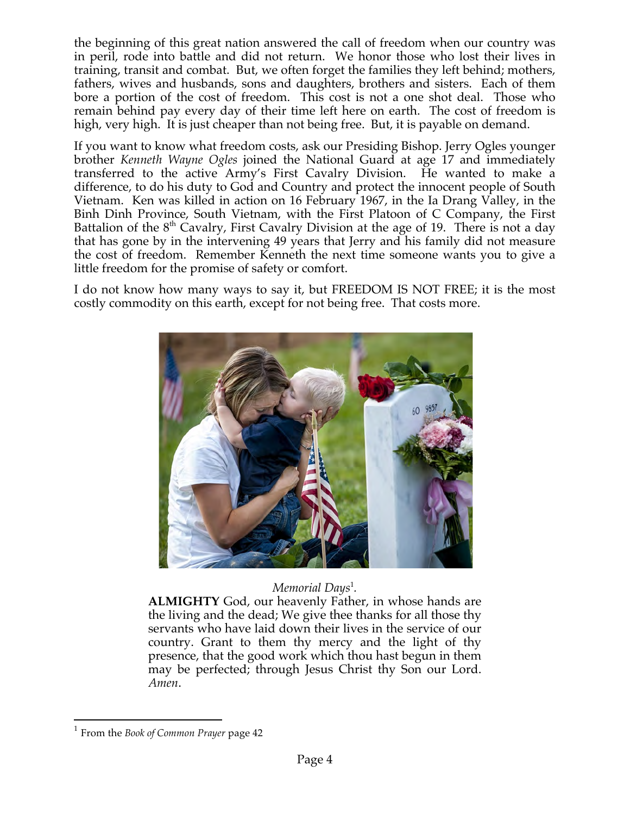the beginning of this great nation answered the call of freedom when our country was in peril, rode into battle and did not return. We honor those who lost their lives in training, transit and combat. But, we often forget the families they left behind; mothers, fathers, wives and husbands, sons and daughters, brothers and sisters. Each of them bore a portion of the cost of freedom. This cost is not a one shot deal. Those who remain behind pay every day of their time left here on earth. The cost of freedom is high, very high. It is just cheaper than not being free. But, it is payable on demand.

If you want to know what freedom costs, ask our Presiding Bishop. Jerry Ogles younger brother *Kenneth Wayne Ogles* joined the National Guard at age 17 and immediately transferred to the active Army's First Cavalry Division. He wanted to make a difference, to do his duty to God and Country and protect the innocent people of South Vietnam. Ken was killed in action on 16 February 1967, in the Ia Drang Valley, in the Binh Dinh Province, South Vietnam, with the First Platoon of C Company, the First Battalion of the 8<sup>th</sup> Cavalry, First Cavalry Division at the age of 19. There is not a day that has gone by in the intervening 49 years that Jerry and his family did not measure the cost of freedom. Remember Kenneth the next time someone wants you to give a little freedom for the promise of safety or comfort.

I do not know how many ways to say it, but FREEDOM IS NOT FREE; it is the most costly commodity on this earth, except for not being free. That costs more.



# *Memorial Days*<sup>1</sup> *.*

**ALMIGHTY** God, our heavenly Father, in whose hands are the living and the dead; We give thee thanks for all those thy servants who have laid down their lives in the service of our country. Grant to them thy mercy and the light of thy presence, that the good work which thou hast begun in them may be perfected; through Jesus Christ thy Son our Lord. *Amen*.

 <sup>1</sup> From the *Book of Common Prayer* page 42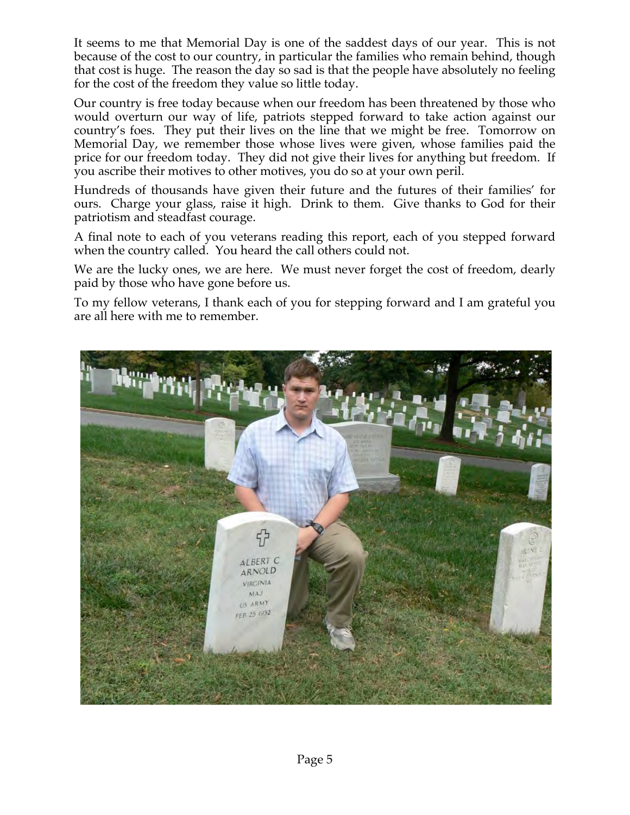It seems to me that Memorial Day is one of the saddest days of our year. This is not because of the cost to our country, in particular the families who remain behind, though that cost is huge. The reason the day so sad is that the people have absolutely no feeling for the cost of the freedom they value so little today.

Our country is free today because when our freedom has been threatened by those who would overturn our way of life, patriots stepped forward to take action against our country's foes. They put their lives on the line that we might be free. Tomorrow on Memorial Day, we remember those whose lives were given, whose families paid the price for our freedom today. They did not give their lives for anything but freedom. If you ascribe their motives to other motives, you do so at your own peril.

Hundreds of thousands have given their future and the futures of their families' for ours. Charge your glass, raise it high. Drink to them. Give thanks to God for their patriotism and steadfast courage.

A final note to each of you veterans reading this report, each of you stepped forward when the country called. You heard the call others could not.

We are the lucky ones, we are here. We must never forget the cost of freedom, dearly paid by those who have gone before us.

To my fellow veterans, I thank each of you for stepping forward and I am grateful you are all here with me to remember.

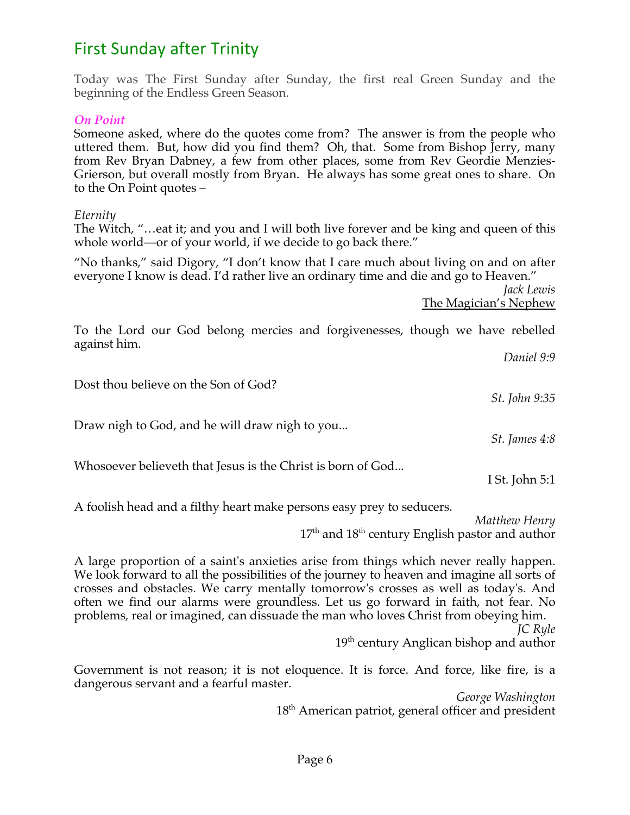# **First Sunday after Trinity**

Today was The First Sunday after Sunday, the first real Green Sunday and the beginning of the Endless Green Season.

#### *On Point*

Someone asked, where do the quotes come from? The answer is from the people who uttered them. But, how did you find them? Oh, that. Some from Bishop Jerry, many from Rev Bryan Dabney, a few from other places, some from Rev Geordie Menzies-Grierson, but overall mostly from Bryan. He always has some great ones to share. On to the On Point quotes –

#### *Eternity*

The Witch, "…eat it; and you and I will both live forever and be king and queen of this whole world—or of your world, if we decide to go back there."

"No thanks," said Digory, "I don't know that I care much about living on and on after everyone I know is dead. I'd rather live an ordinary time and die and go to Heaven."

*Jack Lewis* The Magician's Nephew

To the Lord our God belong mercies and forgivenesses, though we have rebelled against him.

*Daniel 9:9* Dost thou believe on the Son of God? *St. John 9:35* Draw nigh to God, and he will draw nigh to you... *St. James 4:8* Whosoever believeth that Jesus is the Christ is born of God... I St. John 5:1 A foolish head and a filthy heart make persons easy prey to seducers.

*Matthew Henry*  $17<sup>th</sup>$  and  $18<sup>th</sup>$  century English pastor and author

A large proportion of a saint's anxieties arise from things which never really happen. We look forward to all the possibilities of the journey to heaven and imagine all sorts of crosses and obstacles. We carry mentally tomorrow's crosses as well as today's. And often we find our alarms were groundless. Let us go forward in faith, not fear. No problems, real or imagined, can dissuade the man who loves Christ from obeying him.

> *JC Ryle* 19<sup>th</sup> century Anglican bishop and author

Government is not reason; it is not eloquence. It is force. And force, like fire, is a dangerous servant and a fearful master.

> *George Washington*  $18<sup>th</sup>$  American patriot, general officer and president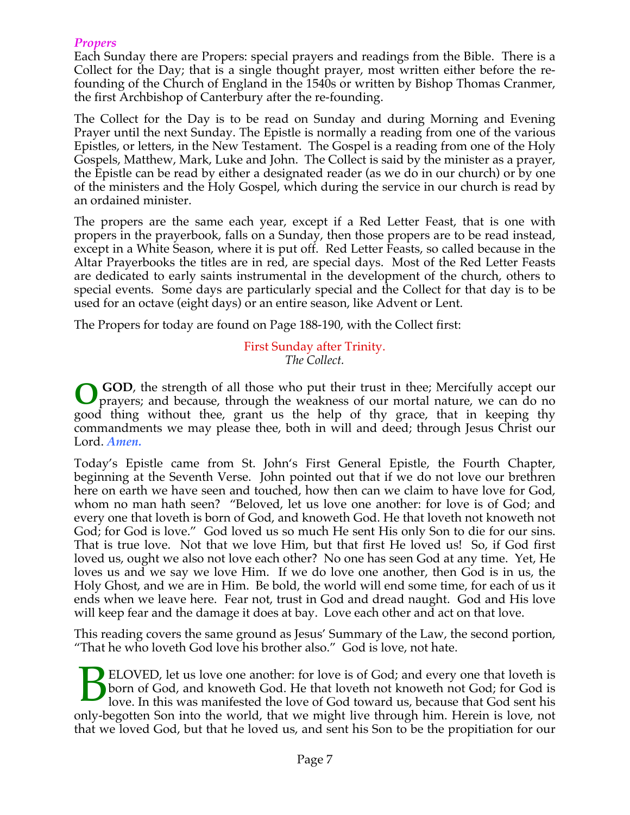## *Propers*

Each Sunday there are Propers: special prayers and readings from the Bible. There is a Collect for the Day; that is a single thought prayer, most written either before the refounding of the Church of England in the 1540s or written by Bishop Thomas Cranmer, the first Archbishop of Canterbury after the re-founding.

The Collect for the Day is to be read on Sunday and during Morning and Evening Prayer until the next Sunday. The Epistle is normally a reading from one of the various Epistles, or letters, in the New Testament. The Gospel is a reading from one of the Holy Gospels, Matthew, Mark, Luke and John. The Collect is said by the minister as a prayer, the Epistle can be read by either a designated reader (as we do in our church) or by one of the ministers and the Holy Gospel, which during the service in our church is read by an ordained minister.

The propers are the same each year, except if a Red Letter Feast, that is one with propers in the prayerbook, falls on a Sunday, then those propers are to be read instead, except in a White Season, where it is put off. Red Letter Feasts, so called because in the Altar Prayerbooks the titles are in red, are special days. Most of the Red Letter Feasts are dedicated to early saints instrumental in the development of the church, others to special events. Some days are particularly special and the Collect for that day is to be used for an octave (eight days) or an entire season, like Advent or Lent.

The Propers for today are found on Page 188-190, with the Collect first:

First Sunday after Trinity. *The Collect.*

 **GOD**, the strength of all those who put their trust in thee; Mercifully accept our prayers; and because, through the weakness of our mortal nature, we can do no good thing without thee, grant us the help of thy grace, that in keeping thy commandments we may please thee, both in will and deed; through Jesus Christ our Lord. *Amen.* **O**

Today's Epistle came from St. John's First General Epistle, the Fourth Chapter, beginning at the Seventh Verse. John pointed out that if we do not love our brethren here on earth we have seen and touched, how then can we claim to have love for God, whom no man hath seen? "Beloved, let us love one another: for love is of God; and every one that loveth is born of God, and knoweth God. He that loveth not knoweth not God; for God is love." God loved us so much He sent His only Son to die for our sins. That is true love. Not that we love Him, but that first He loved us! So, if God first loved us, ought we also not love each other? No one has seen God at any time. Yet, He loves us and we say we love Him. If we do love one another, then God is in us, the Holy Ghost, and we are in Him. Be bold, the world will end some time, for each of us it ends when we leave here. Fear not, trust in God and dread naught. God and His love will keep fear and the damage it does at bay. Love each other and act on that love.

This reading covers the same ground as Jesus' Summary of the Law, the second portion, "That he who loveth God love his brother also." God is love, not hate.

ELOVED, let us love one another: for love is of God; and every one that loveth is born of God, and knoweth God. He that loveth not knoweth not God; for God is love. In this was manifested the love of God toward us, because that God sent his only-begotten Son into the world, that we might live through him. Herein is love, not that we loved God, but that he loved us, and sent his Son to be the propitiation for our B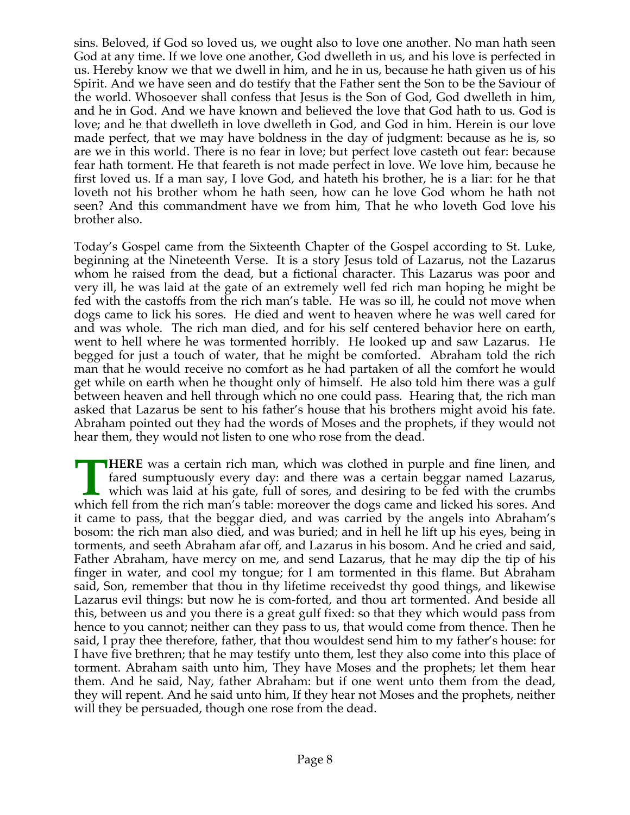sins. Beloved, if God so loved us, we ought also to love one another. No man hath seen God at any time. If we love one another, God dwelleth in us, and his love is perfected in us. Hereby know we that we dwell in him, and he in us, because he hath given us of his Spirit. And we have seen and do testify that the Father sent the Son to be the Saviour of the world. Whosoever shall confess that Jesus is the Son of God, God dwelleth in him, and he in God. And we have known and believed the love that God hath to us. God is love; and he that dwelleth in love dwelleth in God, and God in him. Herein is our love made perfect, that we may have boldness in the day of judgment: because as he is, so are we in this world. There is no fear in love; but perfect love casteth out fear: because fear hath torment. He that feareth is not made perfect in love. We love him, because he first loved us. If a man say, I love God, and hateth his brother, he is a liar: for he that loveth not his brother whom he hath seen, how can he love God whom he hath not seen? And this commandment have we from him, That he who loveth God love his brother also.

Today's Gospel came from the Sixteenth Chapter of the Gospel according to St. Luke, beginning at the Nineteenth Verse. It is a story Jesus told of Lazarus, not the Lazarus whom he raised from the dead, but a fictional character. This Lazarus was poor and very ill, he was laid at the gate of an extremely well fed rich man hoping he might be fed with the castoffs from the rich man's table. He was so ill, he could not move when dogs came to lick his sores. He died and went to heaven where he was well cared for and was whole. The rich man died, and for his self centered behavior here on earth, went to hell where he was tormented horribly. He looked up and saw Lazarus. He begged for just a touch of water, that he might be comforted. Abraham told the rich man that he would receive no comfort as he had partaken of all the comfort he would get while on earth when he thought only of himself. He also told him there was a gulf between heaven and hell through which no one could pass. Hearing that, the rich man asked that Lazarus be sent to his father's house that his brothers might avoid his fate. Abraham pointed out they had the words of Moses and the prophets, if they would not hear them, they would not listen to one who rose from the dead.

**HERE** was a certain rich man, which was clothed in purple and fine linen, and fared sumptuously every day: and there was a certain beggar named Lazarus, which was laid at his gate, full of sores, and desiring to be fed with the crumbs **THERE** was a certain rich man, which was clothed in purple and fine linen, and fared sumptuously every day: and there was a certain beggar named Lazarus, which was laid at his gate, full of sores, and desiring to be fed w it came to pass, that the beggar died, and was carried by the angels into Abraham's bosom: the rich man also died, and was buried; and in hell he lift up his eyes, being in torments, and seeth Abraham afar off, and Lazarus in his bosom. And he cried and said, Father Abraham, have mercy on me, and send Lazarus, that he may dip the tip of his finger in water, and cool my tongue; for I am tormented in this flame. But Abraham said, Son, remember that thou in thy lifetime receivedst thy good things, and likewise Lazarus evil things: but now he is com-forted, and thou art tormented. And beside all this, between us and you there is a great gulf fixed: so that they which would pass from hence to you cannot; neither can they pass to us, that would come from thence. Then he said, I pray thee therefore, father, that thou wouldest send him to my father's house: for I have five brethren; that he may testify unto them, lest they also come into this place of torment. Abraham saith unto him, They have Moses and the prophets; let them hear them. And he said, Nay, father Abraham: but if one went unto them from the dead, they will repent. And he said unto him, If they hear not Moses and the prophets, neither will they be persuaded, though one rose from the dead.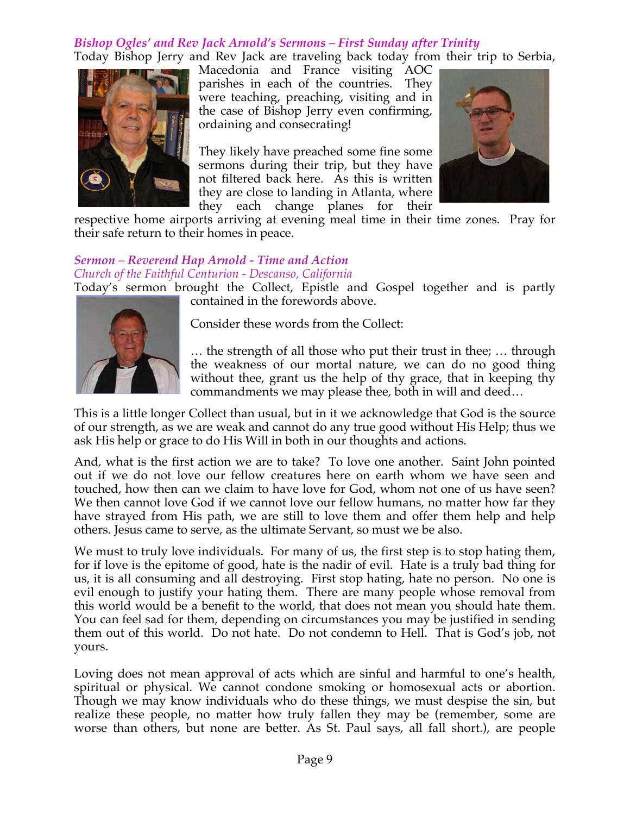# *Bishop Ogles' and Rev Jack Arnold's Sermons – First Sunday after Trinity*

Today Bishop Jerry and Rev Jack are traveling back today from their trip to Serbia,



Macedonia and France visiting AOC parishes in each of the countries. They were teaching, preaching, visiting and in the case of Bishop Jerry even confirming, ordaining and consecrating!

They likely have preached some fine some sermons during their trip, but they have not filtered back here. As this is written they are close to landing in Atlanta, where they each change planes for their



respective home airports arriving at evening meal time in their time zones. Pray for their safe return to their homes in peace.

# *Sermon – Reverend Hap Arnold - Time and Action Church of the Faithful Centurion - Descanso, California*

Today's sermon brought the Collect, Epistle and Gospel together and is partly contained in the forewords above.



Consider these words from the Collect:

… the strength of all those who put their trust in thee; … through the weakness of our mortal nature, we can do no good thing without thee, grant us the help of thy grace, that in keeping thy commandments we may please thee, both in will and deed…

This is a little longer Collect than usual, but in it we acknowledge that God is the source of our strength, as we are weak and cannot do any true good without His Help; thus we ask His help or grace to do His Will in both in our thoughts and actions.

And, what is the first action we are to take? To love one another. Saint John pointed out if we do not love our fellow creatures here on earth whom we have seen and touched, how then can we claim to have love for God, whom not one of us have seen? We then cannot love God if we cannot love our fellow humans, no matter how far they have strayed from His path, we are still to love them and offer them help and help others. Jesus came to serve, as the ultimate Servant, so must we be also.

We must to truly love individuals. For many of us, the first step is to stop hating them, for if love is the epitome of good, hate is the nadir of evil. Hate is a truly bad thing for us, it is all consuming and all destroying. First stop hating, hate no person. No one is evil enough to justify your hating them. There are many people whose removal from this world would be a benefit to the world, that does not mean you should hate them. You can feel sad for them, depending on circumstances you may be justified in sending them out of this world. Do not hate. Do not condemn to Hell. That is God's job, not yours.

Loving does not mean approval of acts which are sinful and harmful to one's health, spiritual or physical. We cannot condone smoking or homosexual acts or abortion. Though we may know individuals who do these things, we must despise the sin, but realize these people, no matter how truly fallen they may be (remember, some are worse than others, but none are better. As St. Paul says, all fall short.), are people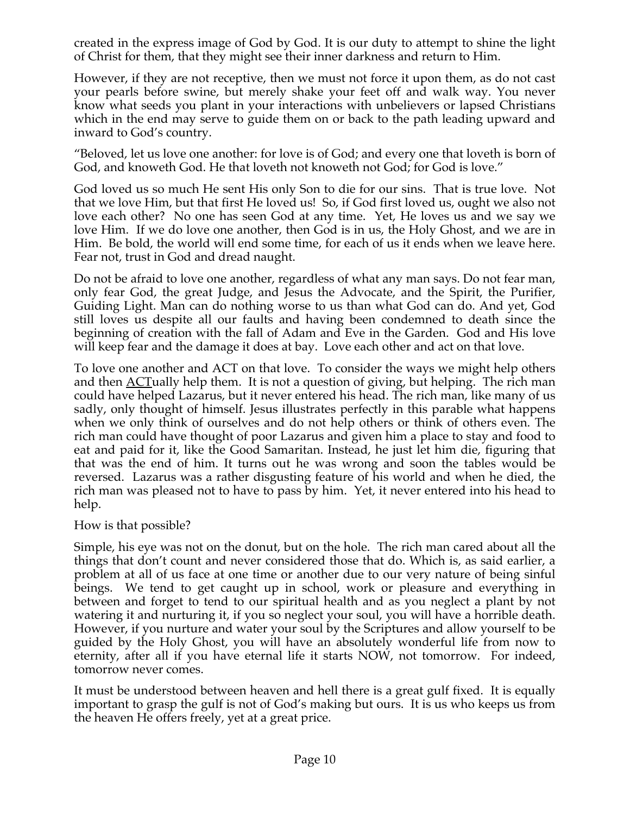created in the express image of God by God. It is our duty to attempt to shine the light of Christ for them, that they might see their inner darkness and return to Him.

However, if they are not receptive, then we must not force it upon them, as do not cast your pearls before swine, but merely shake your feet off and walk way. You never know what seeds you plant in your interactions with unbelievers or lapsed Christians which in the end may serve to guide them on or back to the path leading upward and inward to God's country.

"Beloved, let us love one another: for love is of God; and every one that loveth is born of God, and knoweth God. He that loveth not knoweth not God; for God is love."

God loved us so much He sent His only Son to die for our sins. That is true love. Not that we love Him, but that first He loved us! So, if God first loved us, ought we also not love each other? No one has seen God at any time. Yet, He loves us and we say we love Him. If we do love one another, then God is in us, the Holy Ghost, and we are in Him. Be bold, the world will end some time, for each of us it ends when we leave here. Fear not, trust in God and dread naught.

Do not be afraid to love one another, regardless of what any man says. Do not fear man, only fear God, the great Judge, and Jesus the Advocate, and the Spirit, the Purifier, Guiding Light. Man can do nothing worse to us than what God can do. And yet, God still loves us despite all our faults and having been condemned to death since the beginning of creation with the fall of Adam and Eve in the Garden. God and His love will keep fear and the damage it does at bay. Love each other and act on that love.

To love one another and ACT on that love. To consider the ways we might help others and then <u>ACT</u>ually help them. It is not a question of giving, but helping. The rich man could have helped Lazarus, but it never entered his head. The rich man, like many of us sadly, only thought of himself. Jesus illustrates perfectly in this parable what happens when we only think of ourselves and do not help others or think of others even. The rich man could have thought of poor Lazarus and given him a place to stay and food to eat and paid for it, like the Good Samaritan. Instead, he just let him die, figuring that that was the end of him. It turns out he was wrong and soon the tables would be reversed. Lazarus was a rather disgusting feature of his world and when he died, the rich man was pleased not to have to pass by him. Yet, it never entered into his head to help.

How is that possible?

Simple, his eye was not on the donut, but on the hole. The rich man cared about all the things that don't count and never considered those that do. Which is, as said earlier, a problem at all of us face at one time or another due to our very nature of being sinful beings. We tend to get caught up in school, work or pleasure and everything in between and forget to tend to our spiritual health and as you neglect a plant by not watering it and nurturing it, if you so neglect your soul, you will have a horrible death. However, if you nurture and water your soul by the Scriptures and allow yourself to be guided by the Holy Ghost, you will have an absolutely wonderful life from now to eternity, after all if you have eternal life it starts NOW, not tomorrow. For indeed, tomorrow never comes.

It must be understood between heaven and hell there is a great gulf fixed. It is equally important to grasp the gulf is not of God's making but ours. It is us who keeps us from the heaven He offers freely, yet at a great price.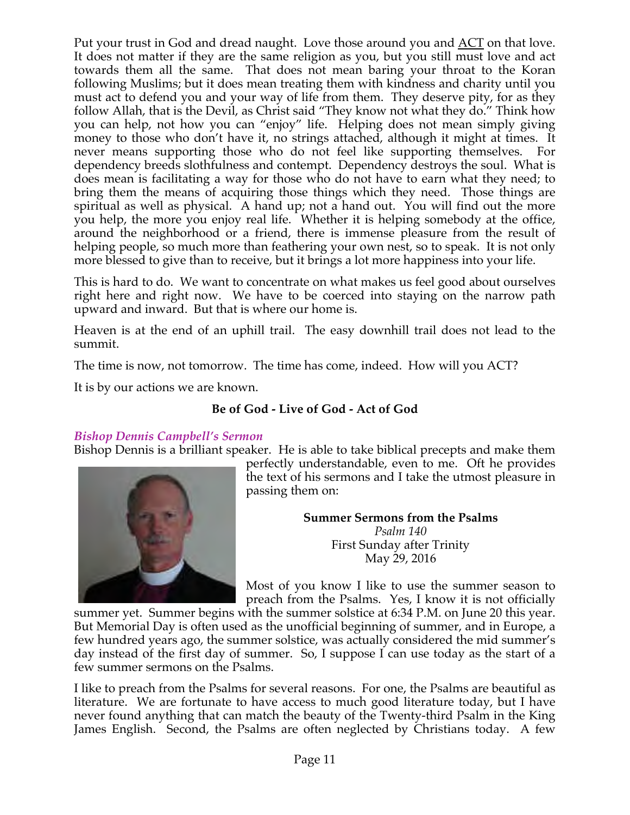Put your trust in God and dread naught. Love those around you and ACT on that love. It does not matter if they are the same religion as you, but you still must love and act towards them all the same. That does not mean baring your throat to the Koran following Muslims; but it does mean treating them with kindness and charity until you must act to defend you and your way of life from them. They deserve pity, for as they follow Allah, that is the Devil, as Christ said "They know not what they do." Think how you can help, not how you can "enjoy" life. Helping does not mean simply giving money to those who don't have it, no strings attached, although it might at times. It never means supporting those who do not feel like supporting themselves. For dependency breeds slothfulness and contempt. Dependency destroys the soul. What is does mean is facilitating a way for those who do not have to earn what they need; to bring them the means of acquiring those things which they need. Those things are spiritual as well as physical. A hand up; not a hand out. You will find out the more you help, the more you enjoy real life. Whether it is helping somebody at the office, around the neighborhood or a friend, there is immense pleasure from the result of helping people, so much more than feathering your own nest, so to speak. It is not only more blessed to give than to receive, but it brings a lot more happiness into your life.

This is hard to do. We want to concentrate on what makes us feel good about ourselves right here and right now. We have to be coerced into staying on the narrow path upward and inward. But that is where our home is.

Heaven is at the end of an uphill trail. The easy downhill trail does not lead to the summit.

The time is now, not tomorrow. The time has come, indeed. How will you ACT?

It is by our actions we are known.

# **Be of God - Live of God - Act of God**

#### *Bishop Dennis Campbell's Sermon*

Bishop Dennis is a brilliant speaker. He is able to take biblical precepts and make them



perfectly understandable, even to me. Oft he provides the text of his sermons and I take the utmost pleasure in passing them on:

**Summer Sermons from the Psalms**

*Psalm 140* First Sunday after Trinity May 29, 2016

Most of you know I like to use the summer season to preach from the Psalms. Yes, I know it is not officially

summer yet. Summer begins with the summer solstice at 6:34 P.M. on June 20 this year. But Memorial Day is often used as the unofficial beginning of summer, and in Europe, a few hundred years ago, the summer solstice, was actually considered the mid summer's day instead of the first day of summer. So, I suppose I can use today as the start of a few summer sermons on the Psalms.

I like to preach from the Psalms for several reasons. For one, the Psalms are beautiful as literature. We are fortunate to have access to much good literature today, but I have never found anything that can match the beauty of the Twenty-third Psalm in the King James English. Second, the Psalms are often neglected by Christians today. A few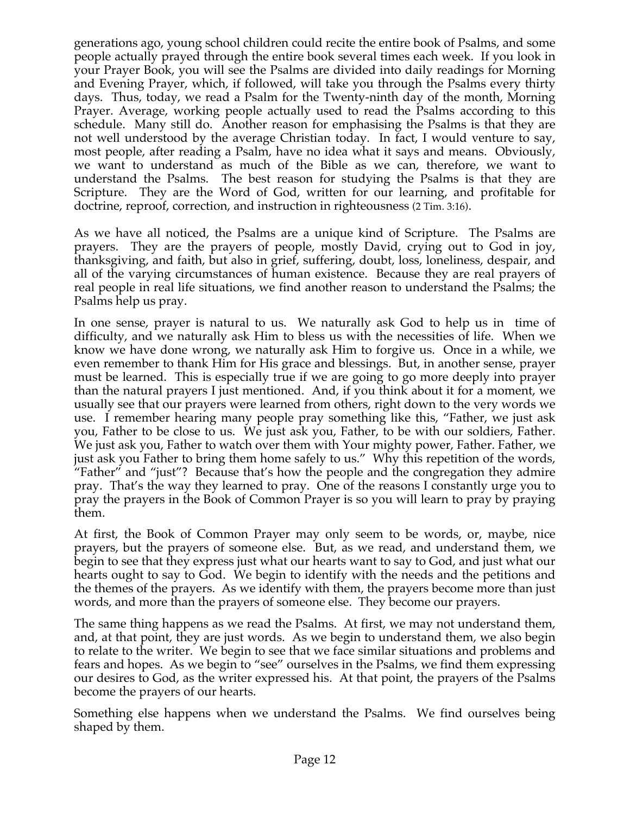generations ago, young school children could recite the entire book of Psalms, and some people actually prayed through the entire book several times each week. If you look in your Prayer Book, you will see the Psalms are divided into daily readings for Morning and Evening Prayer, which, if followed, will take you through the Psalms every thirty days. Thus, today, we read a Psalm for the Twenty-ninth day of the month, Morning Prayer. Average, working people actually used to read the Psalms according to this schedule. Many still do. Another reason for emphasising the Psalms is that they are not well understood by the average Christian today. In fact, I would venture to say, most people, after reading a Psalm, have no idea what it says and means. Obviously, we want to understand as much of the Bible as we can, therefore, we want to understand the Psalms. The best reason for studying the Psalms is that they are Scripture. They are the Word of God, written for our learning, and profitable for doctrine, reproof, correction, and instruction in righteousness (2 Tim. 3:16).

As we have all noticed, the Psalms are a unique kind of Scripture. The Psalms are prayers. They are the prayers of people, mostly David, crying out to God in joy, thanksgiving, and faith, but also in grief, suffering, doubt, loss, loneliness, despair, and all of the varying circumstances of human existence. Because they are real prayers of real people in real life situations, we find another reason to understand the Psalms; the Psalms help us pray.

In one sense, prayer is natural to us. We naturally ask God to help us in time of difficulty, and we naturally ask Him to bless us with the necessities of life. When we know we have done wrong, we naturally ask Him to forgive us. Once in a while, we even remember to thank Him for His grace and blessings. But, in another sense, prayer must be learned. This is especially true if we are going to go more deeply into prayer than the natural prayers I just mentioned. And, if you think about it for a moment, we usually see that our prayers were learned from others, right down to the very words we use. I remember hearing many people pray something like this, "Father, we just ask you, Father to be close to us. We just ask you, Father, to be with our soldiers, Father. We just ask you, Father to watch over them with Your mighty power, Father. Father, we just ask you Father to bring them home safely to us." Why this repetition of the words, "Father" and "just"? Because that's how the people and the congregation they admire pray. That's the way they learned to pray. One of the reasons I constantly urge you to pray the prayers in the Book of Common Prayer is so you will learn to pray by praying them.

At first, the Book of Common Prayer may only seem to be words, or, maybe, nice prayers, but the prayers of someone else. But, as we read, and understand them, we begin to see that they express just what our hearts want to say to God, and just what our hearts ought to say to God. We begin to identify with the needs and the petitions and the themes of the prayers. As we identify with them, the prayers become more than just words, and more than the prayers of someone else. They become our prayers.

The same thing happens as we read the Psalms. At first, we may not understand them, and, at that point, they are just words. As we begin to understand them, we also begin to relate to the writer. We begin to see that we face similar situations and problems and fears and hopes. As we begin to "see" ourselves in the Psalms, we find them expressing our desires to God, as the writer expressed his. At that point, the prayers of the Psalms become the prayers of our hearts.

Something else happens when we understand the Psalms. We find ourselves being shaped by them.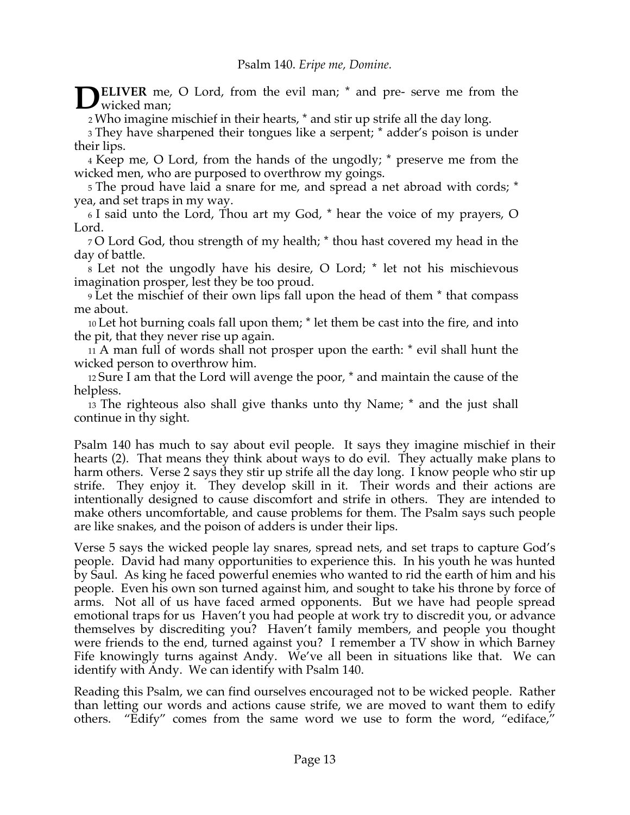**ELIVER** me, O Lord, from the evil man;  $*$  and pre- serve me from the wicked man; wicked man:

<sup>2</sup> Who imagine mischief in their hearts, \* and stir up strife all the day long.

3 They have sharpened their tongues like a serpent; \* adder's poison is under their lips.

4 Keep me, O Lord, from the hands of the ungodly; \* preserve me from the wicked men, who are purposed to overthrow my goings.

5 The proud have laid a snare for me, and spread a net abroad with cords; \* yea, and set traps in my way.

6 I said unto the Lord, Thou art my God, \* hear the voice of my prayers, O Lord.

7 O Lord God, thou strength of my health; \* thou hast covered my head in the day of battle.

8 Let not the ungodly have his desire, O Lord; \* let not his mischievous imagination prosper, lest they be too proud.

9 Let the mischief of their own lips fall upon the head of them \* that compass me about.

10 Let hot burning coals fall upon them; \* let them be cast into the fire, and into the pit, that they never rise up again.

11 A man full of words shall not prosper upon the earth: \* evil shall hunt the wicked person to overthrow him.

12 Sure I am that the Lord will avenge the poor, \* and maintain the cause of the helpless.

13 The righteous also shall give thanks unto thy Name; \* and the just shall continue in thy sight.

Psalm 140 has much to say about evil people. It says they imagine mischief in their hearts (2). That means they think about ways to do evil. They actually make plans to harm others. Verse 2 says they stir up strife all the day long. I know people who stir up strife. They enjoy it. They develop skill in it. Their words and their actions are intentionally designed to cause discomfort and strife in others. They are intended to make others uncomfortable, and cause problems for them. The Psalm says such people are like snakes, and the poison of adders is under their lips.

Verse 5 says the wicked people lay snares, spread nets, and set traps to capture God's people. David had many opportunities to experience this. In his youth he was hunted by Saul. As king he faced powerful enemies who wanted to rid the earth of him and his people. Even his own son turned against him, and sought to take his throne by force of arms. Not all of us have faced armed opponents. But we have had people spread emotional traps for us Haven't you had people at work try to discredit you, or advance themselves by discrediting you? Haven't family members, and people you thought were friends to the end, turned against you? I remember a TV show in which Barney Fife knowingly turns against Andy. We've all been in situations like that. We can identify with Andy. We can identify with Psalm 140.

Reading this Psalm, we can find ourselves encouraged not to be wicked people. Rather than letting our words and actions cause strife, we are moved to want them to edify others. "Edify" comes from the same word we use to form the word, "ediface,"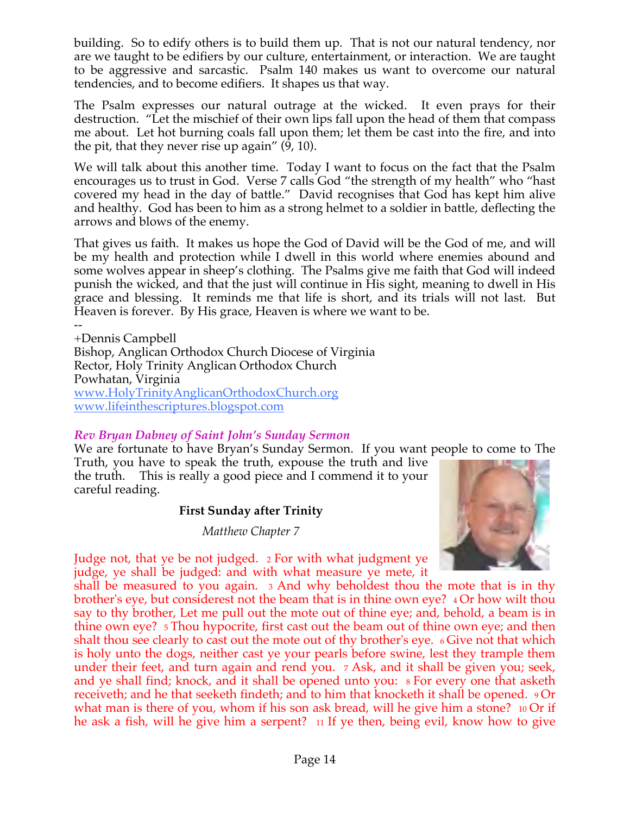building. So to edify others is to build them up. That is not our natural tendency, nor are we taught to be edifiers by our culture, entertainment, or interaction. We are taught to be aggressive and sarcastic. Psalm 140 makes us want to overcome our natural tendencies, and to become edifiers. It shapes us that way.

The Psalm expresses our natural outrage at the wicked. It even prays for their destruction. "Let the mischief of their own lips fall upon the head of them that compass me about. Let hot burning coals fall upon them; let them be cast into the fire, and into the pit, that they never rise up again" (9, 10).

We will talk about this another time. Today I want to focus on the fact that the Psalm encourages us to trust in God. Verse 7 calls God "the strength of my health" who "hast covered my head in the day of battle." David recognises that God has kept him alive and healthy. God has been to him as a strong helmet to a soldier in battle, deflecting the arrows and blows of the enemy.

That gives us faith. It makes us hope the God of David will be the God of me, and will be my health and protection while I dwell in this world where enemies abound and some wolves appear in sheep's clothing. The Psalms give me faith that God will indeed punish the wicked, and that the just will continue in His sight, meaning to dwell in His grace and blessing. It reminds me that life is short, and its trials will not last. But Heaven is forever. By His grace, Heaven is where we want to be.

-- +Dennis Campbell Bishop, Anglican Orthodox Church Diocese of Virginia Rector, Holy Trinity Anglican Orthodox Church Powhatan, Virginia www.HolyTrinityAnglicanOrthodoxChurch.org www.lifeinthescriptures.blogspot.com

# *Rev Bryan Dabney of Saint John's Sunday Sermon*

We are fortunate to have Bryan's Sunday Sermon. If you want people to come to The

Truth, you have to speak the truth, expouse the truth and live the truth. This is really a good piece and I commend it to your careful reading.

#### **First Sunday after Trinity**

*Matthew Chapter 7*



Judge not, that ye be not judged. 2 For with what judgment ye judge, ye shall be judged: and with what measure ye mete, it

shall be measured to you again. 3 And why beholdest thou the mote that is in thy brother's eye, but considerest not the beam that is in thine own eye? 4 Or how wilt thou say to thy brother, Let me pull out the mote out of thine eye; and, behold, a beam is in thine own eye? 5 Thou hypocrite, first cast out the beam out of thine own eye; and then shalt thou see clearly to cast out the mote out of thy brother's eye. 6 Give not that which is holy unto the dogs, neither cast ye your pearls before swine, lest they trample them under their feet, and turn again and rend you. 7 Ask, and it shall be given you; seek, and ye shall find; knock, and it shall be opened unto you: 8 For every one that asketh receiveth; and he that seeketh findeth; and to him that knocketh it shall be opened. 9 Or what man is there of you, whom if his son ask bread, will he give him a stone? 10 Or if he ask a fish, will he give him a serpent? 11 If ye then, being evil, know how to give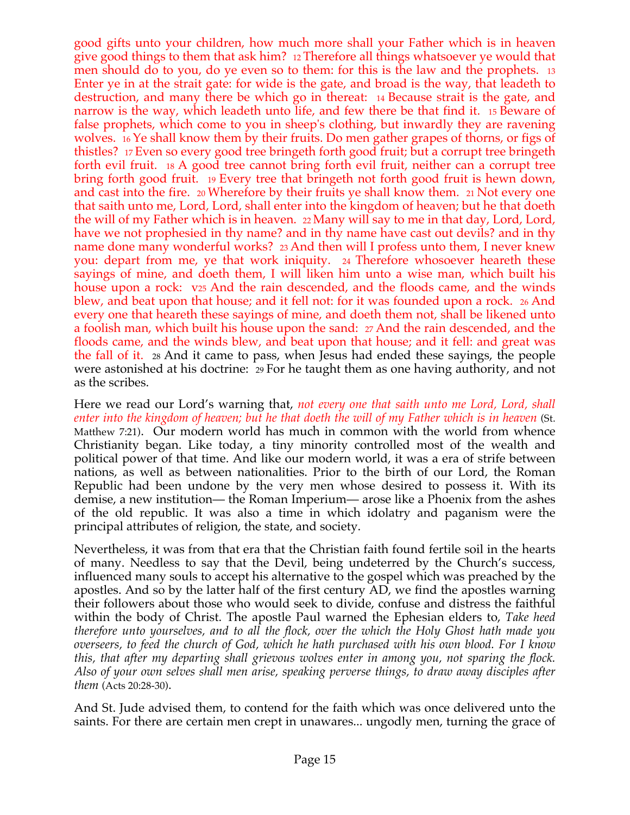good gifts unto your children, how much more shall your Father which is in heaven give good things to them that ask him? 12 Therefore all things whatsoever ye would that men should do to you, do ye even so to them: for this is the law and the prophets. 13 Enter ye in at the strait gate: for wide is the gate, and broad is the way, that leadeth to destruction, and many there be which go in thereat: 14 Because strait is the gate, and narrow is the way, which leadeth unto life, and few there be that find it. 15 Beware of false prophets, which come to you in sheep's clothing, but inwardly they are ravening wolves. 16 Ye shall know them by their fruits. Do men gather grapes of thorns, or figs of thistles? 17 Even so every good tree bringeth forth good fruit; but a corrupt tree bringeth forth evil fruit. 18 A good tree cannot bring forth evil fruit, neither can a corrupt tree bring forth good fruit. 19 Every tree that bringeth not forth good fruit is hewn down, and cast into the fire. 20 Wherefore by their fruits ye shall know them. 21 Not every one that saith unto me, Lord, Lord, shall enter into the kingdom of heaven; but he that doeth the will of my Father which is in heaven. 22 Many will say to me in that day, Lord, Lord, have we not prophesied in thy name? and in thy name have cast out devils? and in thy name done many wonderful works? 23 And then will I profess unto them, I never knew you: depart from me, ye that work iniquity. 24 Therefore whosoever heareth these sayings of mine, and doeth them, I will liken him unto a wise man, which built his house upon a rock: v<sub>25</sub> And the rain descended, and the floods came, and the winds blew, and beat upon that house; and it fell not: for it was founded upon a rock. 26 And every one that heareth these sayings of mine, and doeth them not, shall be likened unto a foolish man, which built his house upon the sand: 27 And the rain descended, and the floods came, and the winds blew, and beat upon that house; and it fell: and great was the fall of it. 28 And it came to pass, when Jesus had ended these sayings, the people were astonished at his doctrine: 29 For he taught them as one having authority, and not as the scribes.

Here we read our Lord's warning that, *not every one that saith unto me Lord, Lord, shall enter into the kingdom of heaven; but he that doeth the will of my Father which is in heaven* (St. Matthew 7:21). Our modern world has much in common with the world from whence Christianity began. Like today, a tiny minority controlled most of the wealth and political power of that time. And like our modern world, it was a era of strife between nations, as well as between nationalities. Prior to the birth of our Lord, the Roman Republic had been undone by the very men whose desired to possess it. With its demise, a new institution— the Roman Imperium— arose like a Phoenix from the ashes of the old republic. It was also a time in which idolatry and paganism were the principal attributes of religion, the state, and society.

Nevertheless, it was from that era that the Christian faith found fertile soil in the hearts of many. Needless to say that the Devil, being undeterred by the Church's success, influenced many souls to accept his alternative to the gospel which was preached by the apostles. And so by the latter half of the first century AD, we find the apostles warning their followers about those who would seek to divide, confuse and distress the faithful within the body of Christ. The apostle Paul warned the Ephesian elders to, *Take heed therefore unto yourselves, and to all the flock, over the which the Holy Ghost hath made you overseers, to feed the church of God, which he hath purchased with his own blood. For I know this, that after my departing shall grievous wolves enter in among you, not sparing the flock. Also of your own selves shall men arise, speaking perverse things, to draw away disciples after them* (Acts 20:28-30).

And St. Jude advised them, to contend for the faith which was once delivered unto the saints. For there are certain men crept in unawares... ungodly men, turning the grace of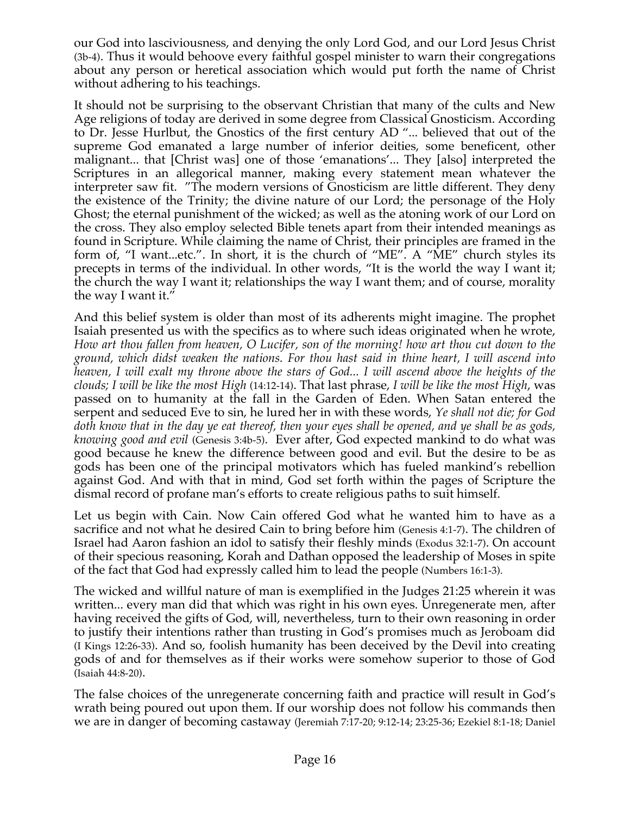our God into lasciviousness, and denying the only Lord God, and our Lord Jesus Christ (3b-4). Thus it would behoove every faithful gospel minister to warn their congregations about any person or heretical association which would put forth the name of Christ without adhering to his teachings.

It should not be surprising to the observant Christian that many of the cults and New Age religions of today are derived in some degree from Classical Gnosticism. According to Dr. Jesse Hurlbut, the Gnostics of the first century AD "... believed that out of the supreme God emanated a large number of inferior deities, some beneficent, other malignant... that [Christ was] one of those 'emanations'... They [also] interpreted the Scriptures in an allegorical manner, making every statement mean whatever the interpreter saw fit. "The modern versions of Gnosticism are little different. They deny the existence of the Trinity; the divine nature of our Lord; the personage of the Holy Ghost; the eternal punishment of the wicked; as well as the atoning work of our Lord on the cross. They also employ selected Bible tenets apart from their intended meanings as found in Scripture. While claiming the name of Christ, their principles are framed in the form of, "I want...etc.". In short, it is the church of "ME". A "ME" church styles its precepts in terms of the individual. In other words, "It is the world the way I want it; the church the way I want it; relationships the way I want them; and of course, morality the way I want it."

And this belief system is older than most of its adherents might imagine. The prophet Isaiah presented us with the specifics as to where such ideas originated when he wrote, *How art thou fallen from heaven, O Lucifer, son of the morning! how art thou cut down to the ground, which didst weaken the nations. For thou hast said in thine heart, I will ascend into heaven, I will exalt my throne above the stars of God... I will ascend above the heights of the clouds; I will be like the most High* (14:12-14). That last phrase, *I will be like the most High*, was passed on to humanity at the fall in the Garden of Eden. When Satan entered the serpent and seduced Eve to sin, he lured her in with these words, *Ye shall not die; for God doth know that in the day ye eat thereof, then your eyes shall be opened, and ye shall be as gods, knowing good and evil* (Genesis 3:4b-5). Ever after, God expected mankind to do what was good because he knew the difference between good and evil. But the desire to be as gods has been one of the principal motivators which has fueled mankind's rebellion against God. And with that in mind, God set forth within the pages of Scripture the dismal record of profane man's efforts to create religious paths to suit himself.

Let us begin with Cain. Now Cain offered God what he wanted him to have as a sacrifice and not what he desired Cain to bring before him (Genesis 4:1-7). The children of Israel had Aaron fashion an idol to satisfy their fleshly minds (Exodus 32:1-7). On account of their specious reasoning, Korah and Dathan opposed the leadership of Moses in spite of the fact that God had expressly called him to lead the people (Numbers 16:1-3).

The wicked and willful nature of man is exemplified in the Judges 21:25 wherein it was written... every man did that which was right in his own eyes. Unregenerate men, after having received the gifts of God, will, nevertheless, turn to their own reasoning in order to justify their intentions rather than trusting in God's promises much as Jeroboam did (I Kings 12:26-33). And so, foolish humanity has been deceived by the Devil into creating gods of and for themselves as if their works were somehow superior to those of God (Isaiah 44:8-20).

The false choices of the unregenerate concerning faith and practice will result in God's wrath being poured out upon them. If our worship does not follow his commands then we are in danger of becoming castaway (Jeremiah 7:17-20; 9:12-14; 23:25-36; Ezekiel 8:1-18; Daniel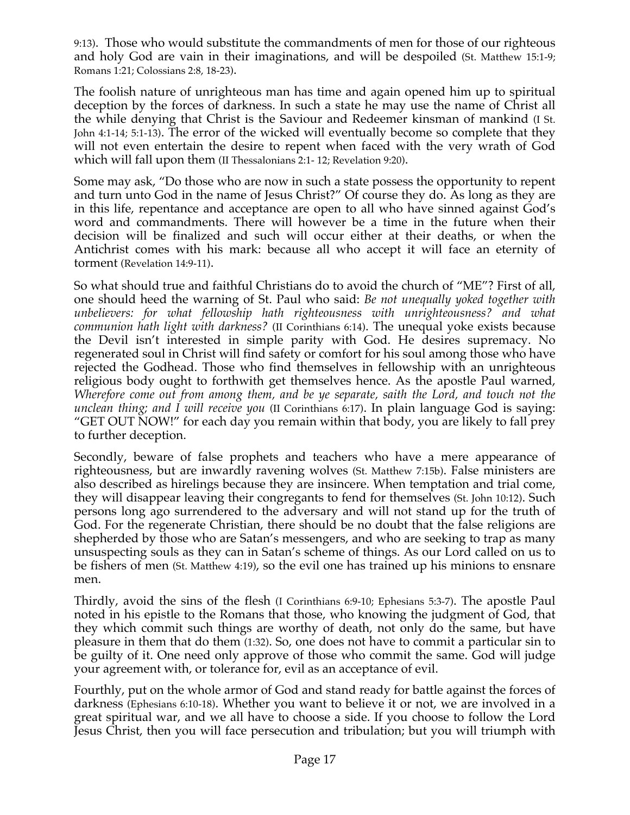9:13). Those who would substitute the commandments of men for those of our righteous and holy God are vain in their imaginations, and will be despoiled (St. Matthew 15:1-9; Romans 1:21; Colossians 2:8, 18-23).

The foolish nature of unrighteous man has time and again opened him up to spiritual deception by the forces of darkness. In such a state he may use the name of Christ all the while denying that Christ is the Saviour and Redeemer kinsman of mankind (I St. John 4:1-14; 5:1-13). The error of the wicked will eventually become so complete that they will not even entertain the desire to repent when faced with the very wrath of God which will fall upon them (II Thessalonians 2:1- 12; Revelation 9:20).

Some may ask, "Do those who are now in such a state possess the opportunity to repent and turn unto God in the name of Jesus Christ?" Of course they do. As long as they are in this life, repentance and acceptance are open to all who have sinned against God's word and commandments. There will however be a time in the future when their decision will be finalized and such will occur either at their deaths, or when the Antichrist comes with his mark: because all who accept it will face an eternity of torment (Revelation 14:9-11).

So what should true and faithful Christians do to avoid the church of "ME"? First of all, one should heed the warning of St. Paul who said: *Be not unequally yoked together with unbelievers: for what fellowship hath righteousness with unrighteousness? and what communion hath light with darkness?* (II Corinthians 6:14). The unequal yoke exists because the Devil isn't interested in simple parity with God. He desires supremacy. No regenerated soul in Christ will find safety or comfort for his soul among those who have rejected the Godhead. Those who find themselves in fellowship with an unrighteous religious body ought to forthwith get themselves hence. As the apostle Paul warned, *Wherefore come out from among them, and be ye separate, saith the Lord, and touch not the unclean thing; and I will receive you* (II Corinthians 6:17). In plain language God is saying: "GET OUT NOW!" for each day you remain within that body, you are likely to fall prey to further deception.

Secondly, beware of false prophets and teachers who have a mere appearance of righteousness, but are inwardly ravening wolves (St. Matthew 7:15b). False ministers are also described as hirelings because they are insincere. When temptation and trial come, they will disappear leaving their congregants to fend for themselves (St. John 10:12). Such persons long ago surrendered to the adversary and will not stand up for the truth of God. For the regenerate Christian, there should be no doubt that the false religions are shepherded by those who are Satan's messengers, and who are seeking to trap as many unsuspecting souls as they can in Satan's scheme of things. As our Lord called on us to be fishers of men (St. Matthew 4:19), so the evil one has trained up his minions to ensnare men.

Thirdly, avoid the sins of the flesh (I Corinthians 6:9-10; Ephesians 5:3-7). The apostle Paul noted in his epistle to the Romans that those, who knowing the judgment of God, that they which commit such things are worthy of death, not only do the same, but have pleasure in them that do them (1:32). So, one does not have to commit a particular sin to be guilty of it. One need only approve of those who commit the same. God will judge your agreement with, or tolerance for, evil as an acceptance of evil.

Fourthly, put on the whole armor of God and stand ready for battle against the forces of darkness (Ephesians 6:10-18). Whether you want to believe it or not, we are involved in a great spiritual war, and we all have to choose a side. If you choose to follow the Lord Jesus Christ, then you will face persecution and tribulation; but you will triumph with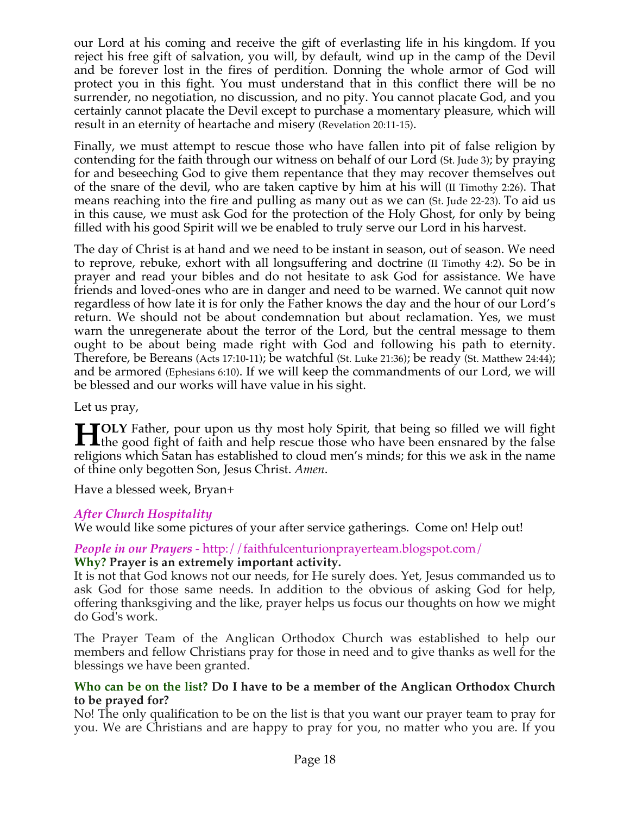our Lord at his coming and receive the gift of everlasting life in his kingdom. If you reject his free gift of salvation, you will, by default, wind up in the camp of the Devil and be forever lost in the fires of perdition. Donning the whole armor of God will protect you in this fight. You must understand that in this conflict there will be no surrender, no negotiation, no discussion, and no pity. You cannot placate God, and you certainly cannot placate the Devil except to purchase a momentary pleasure, which will result in an eternity of heartache and misery (Revelation 20:11-15).

Finally, we must attempt to rescue those who have fallen into pit of false religion by contending for the faith through our witness on behalf of our Lord (St. Jude 3); by praying for and beseeching God to give them repentance that they may recover themselves out of the snare of the devil, who are taken captive by him at his will (II Timothy 2:26). That means reaching into the fire and pulling as many out as we can (St. Jude 22-23). To aid us in this cause, we must ask God for the protection of the Holy Ghost, for only by being filled with his good Spirit will we be enabled to truly serve our Lord in his harvest.

The day of Christ is at hand and we need to be instant in season, out of season. We need to reprove, rebuke, exhort with all longsuffering and doctrine (II Timothy 4:2). So be in prayer and read your bibles and do not hesitate to ask God for assistance. We have friends and loved-ones who are in danger and need to be warned. We cannot quit now regardless of how late it is for only the Father knows the day and the hour of our Lord's return. We should not be about condemnation but about reclamation. Yes, we must warn the unregenerate about the terror of the Lord, but the central message to them ought to be about being made right with God and following his path to eternity. Therefore, be Bereans (Acts 17:10-11); be watchful (St. Luke 21:36); be ready (St. Matthew 24:44); and be armored (Ephesians 6:10). If we will keep the commandments of our Lord, we will be blessed and our works will have value in his sight.

Let us pray,

**OLY** Father, pour upon us thy most holy Spirit, that being so filled we will fight **the good fight of faith and help rescue those who have been ensnared by the false and integral in the false and integral integral in the case of the false and integral integral integral integral integral integral integral** religions which Satan has established to cloud men's minds; for this we ask in the name of thine only begotten Son, Jesus Christ. *Amen*.

Have a blessed week, Bryan+

# *After Church Hospitality*

We would like some pictures of your after service gatherings. Come on! Help out!

# *People in our Prayers* - http://faithfulcenturionprayerteam.blogspot.com/

#### **Why? Prayer is an extremely important activity.**

It is not that God knows not our needs, for He surely does. Yet, Jesus commanded us to ask God for those same needs. In addition to the obvious of asking God for help, offering thanksgiving and the like, prayer helps us focus our thoughts on how we might do God's work.

The Prayer Team of the Anglican Orthodox Church was established to help our members and fellow Christians pray for those in need and to give thanks as well for the blessings we have been granted.

#### **Who can be on the list? Do I have to be a member of the Anglican Orthodox Church to be prayed for?**

No! The only qualification to be on the list is that you want our prayer team to pray for you. We are Christians and are happy to pray for you, no matter who you are. If you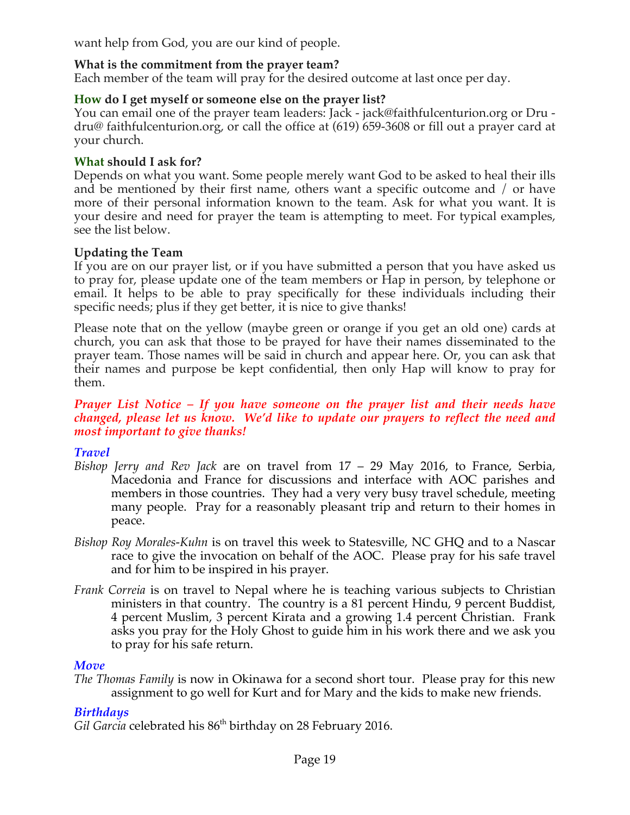want help from God, you are our kind of people.

# **What is the commitment from the prayer team?**

Each member of the team will pray for the desired outcome at last once per day.

## **How do I get myself or someone else on the prayer list?**

You can email one of the prayer team leaders: Jack - jack@faithfulcenturion.org or Dru dru@ faithfulcenturion.org, or call the office at (619) 659-3608 or fill out a prayer card at your church.

#### **What should I ask for?**

Depends on what you want. Some people merely want God to be asked to heal their ills and be mentioned by their first name, others want a specific outcome and / or have more of their personal information known to the team. Ask for what you want. It is your desire and need for prayer the team is attempting to meet. For typical examples, see the list below.

## **Updating the Team**

If you are on our prayer list, or if you have submitted a person that you have asked us to pray for, please update one of the team members or Hap in person, by telephone or email. It helps to be able to pray specifically for these individuals including their specific needs; plus if they get better, it is nice to give thanks!

Please note that on the yellow (maybe green or orange if you get an old one) cards at church, you can ask that those to be prayed for have their names disseminated to the prayer team. Those names will be said in church and appear here. Or, you can ask that their names and purpose be kept confidential, then only Hap will know to pray for them.

#### *Prayer List Notice – If you have someone on the prayer list and their needs have changed, please let us know. We'd like to update our prayers to reflect the need and most important to give thanks!*

# *Travel*

- *Bishop Jerry and Rev Jack* are on travel from 17 29 May 2016, to France, Serbia, Macedonia and France for discussions and interface with AOC parishes and members in those countries. They had a very very busy travel schedule, meeting many people. Pray for a reasonably pleasant trip and return to their homes in peace.
- *Bishop Roy Morales-Kuhn* is on travel this week to Statesville, NC GHQ and to a Nascar race to give the invocation on behalf of the AOC. Please pray for his safe travel and for him to be inspired in his prayer.
- *Frank Correia* is on travel to Nepal where he is teaching various subjects to Christian ministers in that country. The country is a 81 percent Hindu, 9 percent Buddist, 4 percent Muslim, 3 percent Kirata and a growing 1.4 percent Christian. Frank asks you pray for the Holy Ghost to guide him in his work there and we ask you to pray for his safe return.

#### *Move*

*The Thomas Family* is now in Okinawa for a second short tour. Please pray for this new assignment to go well for Kurt and for Mary and the kids to make new friends.

# *Birthdays*

Gil Garcia celebrated his 86<sup>th</sup> birthday on 28 February 2016.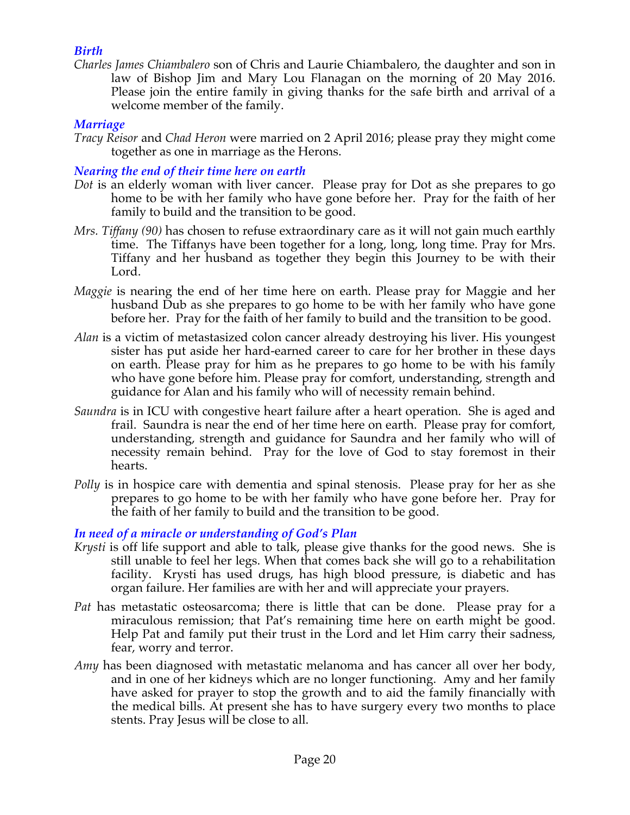# *Birth*

*Charles James Chiambalero* son of Chris and Laurie Chiambalero, the daughter and son in law of Bishop Jim and Mary Lou Flanagan on the morning of 20 May 2016. Please join the entire family in giving thanks for the safe birth and arrival of a welcome member of the family.

#### *Marriage*

*Tracy Reisor* and *Chad Heron* were married on 2 April 2016; please pray they might come together as one in marriage as the Herons.

#### *Nearing the end of their time here on earth*

- *Dot* is an elderly woman with liver cancer. Please pray for Dot as she prepares to go home to be with her family who have gone before her. Pray for the faith of her family to build and the transition to be good.
- *Mrs. Tiffany (90)* has chosen to refuse extraordinary care as it will not gain much earthly time. The Tiffanys have been together for a long, long, long time. Pray for Mrs. Tiffany and her husband as together they begin this Journey to be with their Lord.
- *Maggie* is nearing the end of her time here on earth. Please pray for Maggie and her husband Dub as she prepares to go home to be with her family who have gone before her. Pray for the faith of her family to build and the transition to be good.
- *Alan* is a victim of metastasized colon cancer already destroying his liver. His youngest sister has put aside her hard-earned career to care for her brother in these days on earth. Please pray for him as he prepares to go home to be with his family who have gone before him. Please pray for comfort, understanding, strength and guidance for Alan and his family who will of necessity remain behind.
- *Saundra* is in ICU with congestive heart failure after a heart operation. She is aged and frail. Saundra is near the end of her time here on earth. Please pray for comfort, understanding, strength and guidance for Saundra and her family who will of necessity remain behind. Pray for the love of God to stay foremost in their hearts.
- *Polly* is in hospice care with dementia and spinal stenosis. Please pray for her as she prepares to go home to be with her family who have gone before her. Pray for the faith of her family to build and the transition to be good.

# *In need of a miracle or understanding of God's Plan*

- *Krysti* is off life support and able to talk, please give thanks for the good news. She is still unable to feel her legs. When that comes back she will go to a rehabilitation facility. Krysti has used drugs, has high blood pressure, is diabetic and has organ failure. Her families are with her and will appreciate your prayers.
- *Pat* has metastatic osteosarcoma; there is little that can be done. Please pray for a miraculous remission; that Pat's remaining time here on earth might be good. Help Pat and family put their trust in the Lord and let Him carry their sadness, fear, worry and terror.
- *Amy* has been diagnosed with metastatic melanoma and has cancer all over her body, and in one of her kidneys which are no longer functioning. Amy and her family have asked for prayer to stop the growth and to aid the family financially with the medical bills. At present she has to have surgery every two months to place stents. Pray Jesus will be close to all.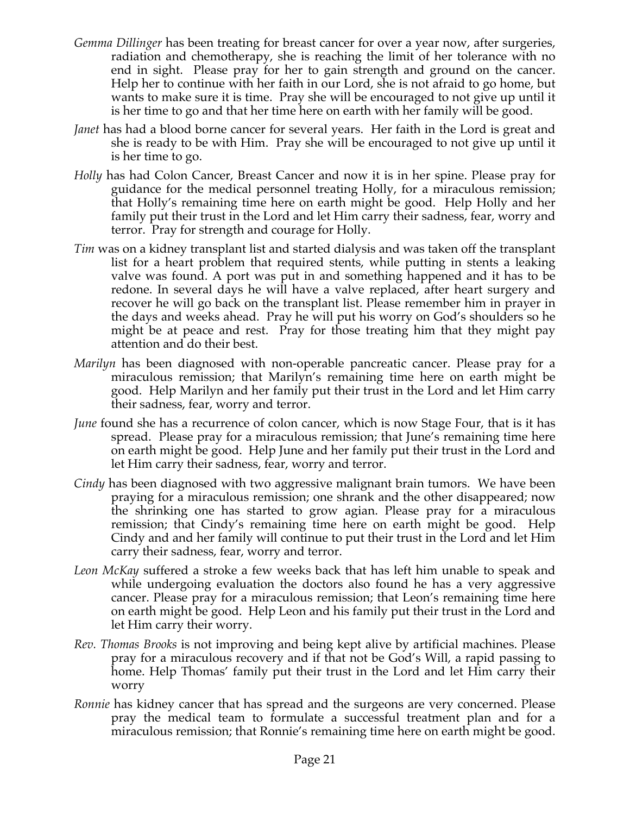- *Gemma Dillinger* has been treating for breast cancer for over a year now, after surgeries, radiation and chemotherapy, she is reaching the limit of her tolerance with no end in sight. Please pray for her to gain strength and ground on the cancer. Help her to continue with her faith in our Lord, she is not afraid to go home, but wants to make sure it is time. Pray she will be encouraged to not give up until it is her time to go and that her time here on earth with her family will be good.
- *Janet* has had a blood borne cancer for several years. Her faith in the Lord is great and she is ready to be with Him. Pray she will be encouraged to not give up until it is her time to go.
- *Holly* has had Colon Cancer, Breast Cancer and now it is in her spine. Please pray for guidance for the medical personnel treating Holly, for a miraculous remission; that Holly's remaining time here on earth might be good. Help Holly and her family put their trust in the Lord and let Him carry their sadness, fear, worry and terror. Pray for strength and courage for Holly.
- *Tim* was on a kidney transplant list and started dialysis and was taken off the transplant list for a heart problem that required stents, while putting in stents a leaking valve was found. A port was put in and something happened and it has to be redone. In several days he will have a valve replaced, after heart surgery and recover he will go back on the transplant list. Please remember him in prayer in the days and weeks ahead. Pray he will put his worry on God's shoulders so he might be at peace and rest. Pray for those treating him that they might pay attention and do their best.
- *Marilyn* has been diagnosed with non-operable pancreatic cancer. Please pray for a miraculous remission; that Marilyn's remaining time here on earth might be good. Help Marilyn and her family put their trust in the Lord and let Him carry their sadness, fear, worry and terror.
- *June* found she has a recurrence of colon cancer, which is now Stage Four, that is it has spread. Please pray for a miraculous remission; that June's remaining time here on earth might be good. Help June and her family put their trust in the Lord and let Him carry their sadness, fear, worry and terror.
- *Cindy* has been diagnosed with two aggressive malignant brain tumors. We have been praying for a miraculous remission; one shrank and the other disappeared; now the shrinking one has started to grow agian. Please pray for a miraculous remission; that Cindy's remaining time here on earth might be good. Help Cindy and and her family will continue to put their trust in the Lord and let Him carry their sadness, fear, worry and terror.
- *Leon McKay* suffered a stroke a few weeks back that has left him unable to speak and while undergoing evaluation the doctors also found he has a very aggressive cancer. Please pray for a miraculous remission; that Leon's remaining time here on earth might be good. Help Leon and his family put their trust in the Lord and let Him carry their worry.
- *Rev. Thomas Brooks* is not improving and being kept alive by artificial machines. Please pray for a miraculous recovery and if that not be God's Will, a rapid passing to home. Help Thomas' family put their trust in the Lord and let Him carry their worry
- *Ronnie* has kidney cancer that has spread and the surgeons are very concerned. Please pray the medical team to formulate a successful treatment plan and for a miraculous remission; that Ronnie's remaining time here on earth might be good.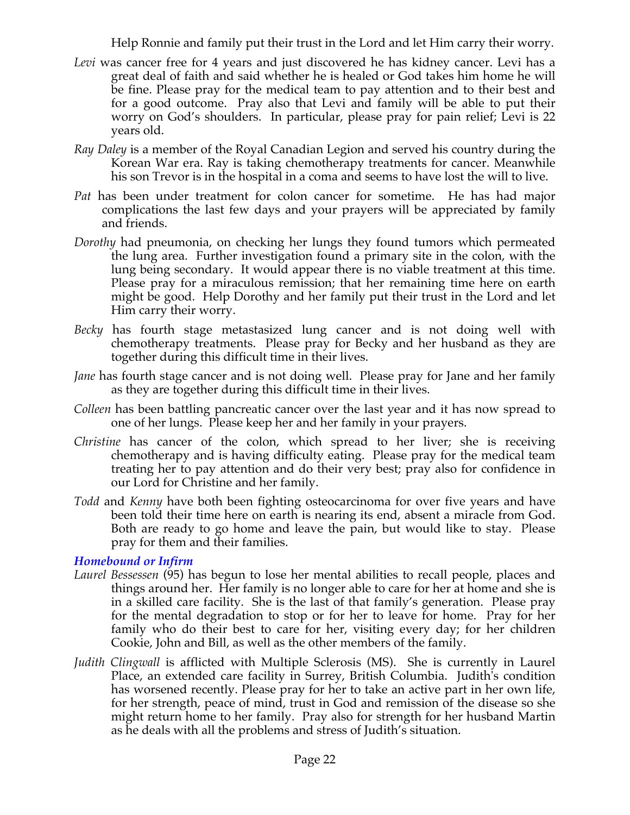Help Ronnie and family put their trust in the Lord and let Him carry their worry.

- *Levi* was cancer free for 4 years and just discovered he has kidney cancer. Levi has a great deal of faith and said whether he is healed or God takes him home he will be fine. Please pray for the medical team to pay attention and to their best and for a good outcome. Pray also that Levi and family will be able to put their worry on God's shoulders. In particular, please pray for pain relief; Levi is 22 years old.
- *Ray Daley* is a member of the Royal Canadian Legion and served his country during the Korean War era. Ray is taking chemotherapy treatments for cancer. Meanwhile his son Trevor is in the hospital in a coma and seems to have lost the will to live.
- *Pat* has been under treatment for colon cancer for sometime. He has had major complications the last few days and your prayers will be appreciated by family and friends.
- *Dorothy* had pneumonia, on checking her lungs they found tumors which permeated the lung area. Further investigation found a primary site in the colon, with the lung being secondary. It would appear there is no viable treatment at this time. Please pray for a miraculous remission; that her remaining time here on earth might be good. Help Dorothy and her family put their trust in the Lord and let Him carry their worry.
- *Becky* has fourth stage metastasized lung cancer and is not doing well with chemotherapy treatments. Please pray for Becky and her husband as they are together during this difficult time in their lives.
- *Jane* has fourth stage cancer and is not doing well. Please pray for Jane and her family as they are together during this difficult time in their lives.
- *Colleen* has been battling pancreatic cancer over the last year and it has now spread to one of her lungs. Please keep her and her family in your prayers.
- *Christine* has cancer of the colon, which spread to her liver; she is receiving chemotherapy and is having difficulty eating. Please pray for the medical team treating her to pay attention and do their very best; pray also for confidence in our Lord for Christine and her family.
- *Todd* and *Kenny* have both been fighting osteocarcinoma for over five years and have been told their time here on earth is nearing its end, absent a miracle from God. Both are ready to go home and leave the pain, but would like to stay. Please pray for them and their families.

*Homebound or Infirm*

- *Laurel Bessessen* (95) has begun to lose her mental abilities to recall people, places and things around her. Her family is no longer able to care for her at home and she is in a skilled care facility. She is the last of that family's generation. Please pray for the mental degradation to stop or for her to leave for home. Pray for her family who do their best to care for her, visiting every day; for her children Cookie, John and Bill, as well as the other members of the family.
- *Judith Clingwall* is afflicted with Multiple Sclerosis (MS). She is currently in Laurel Place, an extended care facility in Surrey, British Columbia. Judith's condition has worsened recently. Please pray for her to take an active part in her own life, for her strength, peace of mind, trust in God and remission of the disease so she might return home to her family. Pray also for strength for her husband Martin as he deals with all the problems and stress of Judith's situation.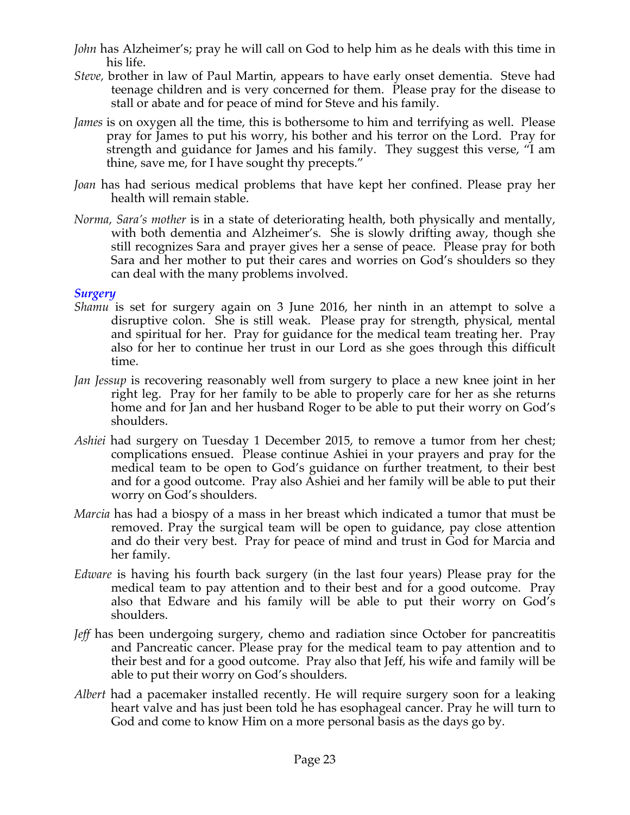- *John* has Alzheimer's; pray he will call on God to help him as he deals with this time in his life.
- *Steve,* brother in law of Paul Martin, appears to have early onset dementia. Steve had teenage children and is very concerned for them. Please pray for the disease to stall or abate and for peace of mind for Steve and his family.
- *James* is on oxygen all the time, this is bothersome to him and terrifying as well. Please pray for James to put his worry, his bother and his terror on the Lord. Pray for strength and guidance for James and his family. They suggest this verse, "I am thine, save me, for I have sought thy precepts."
- *Joan* has had serious medical problems that have kept her confined. Please pray her health will remain stable.
- *Norma, Sara's mother* is in a state of deteriorating health, both physically and mentally, with both dementia and Alzheimer's. She is slowly drifting away, though she still recognizes Sara and prayer gives her a sense of peace. Please pray for both Sara and her mother to put their cares and worries on God's shoulders so they can deal with the many problems involved.

#### *Surgery*

- *Shamu* is set for surgery again on 3 June 2016, her ninth in an attempt to solve a disruptive colon. She is still weak. Please pray for strength, physical, mental and spiritual for her. Pray for guidance for the medical team treating her. Pray also for her to continue her trust in our Lord as she goes through this difficult time.
- *Jan Jessup* is recovering reasonably well from surgery to place a new knee joint in her right leg. Pray for her family to be able to properly care for her as she returns home and for Jan and her husband Roger to be able to put their worry on God's shoulders.
- *Ashiei* had surgery on Tuesday 1 December 2015, to remove a tumor from her chest; complications ensued. Please continue Ashiei in your prayers and pray for the medical team to be open to God's guidance on further treatment, to their best and for a good outcome. Pray also Ashiei and her family will be able to put their worry on God's shoulders.
- *Marcia* has had a biospy of a mass in her breast which indicated a tumor that must be removed. Pray the surgical team will be open to guidance, pay close attention and do their very best. Pray for peace of mind and trust in God for Marcia and her family.
- *Edware* is having his fourth back surgery (in the last four years) Please pray for the medical team to pay attention and to their best and for a good outcome. Pray also that Edware and his family will be able to put their worry on God's shoulders.
- *Jeff* has been undergoing surgery, chemo and radiation since October for pancreatitis and Pancreatic cancer. Please pray for the medical team to pay attention and to their best and for a good outcome. Pray also that Jeff, his wife and family will be able to put their worry on God's shoulders.
- *Albert* had a pacemaker installed recently. He will require surgery soon for a leaking heart valve and has just been told he has esophageal cancer. Pray he will turn to God and come to know Him on a more personal basis as the days go by.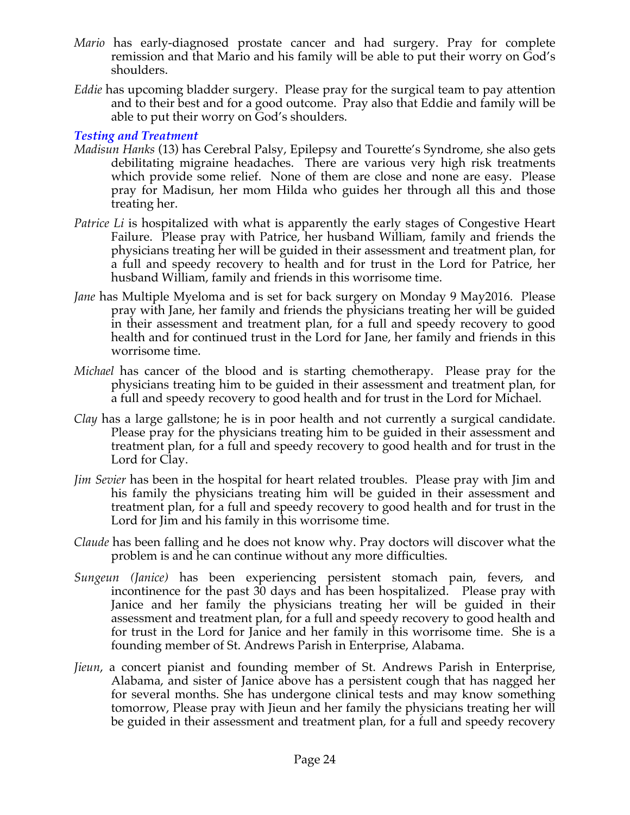- *Mario* has early-diagnosed prostate cancer and had surgery. Pray for complete remission and that Mario and his family will be able to put their worry on God's shoulders.
- *Eddie* has upcoming bladder surgery. Please pray for the surgical team to pay attention and to their best and for a good outcome. Pray also that Eddie and family will be able to put their worry on God's shoulders.

*Testing and Treatment*

- *Madisun Hanks* (13) has Cerebral Palsy, Epilepsy and Tourette's Syndrome, she also gets debilitating migraine headaches. There are various very high risk treatments which provide some relief. None of them are close and none are easy. Please pray for Madisun, her mom Hilda who guides her through all this and those treating her.
- *Patrice Li* is hospitalized with what is apparently the early stages of Congestive Heart Failure. Please pray with Patrice, her husband William, family and friends the physicians treating her will be guided in their assessment and treatment plan, for a full and speedy recovery to health and for trust in the Lord for Patrice, her husband William, family and friends in this worrisome time.
- *Jane* has Multiple Myeloma and is set for back surgery on Monday 9 May2016. Please pray with Jane, her family and friends the physicians treating her will be guided in their assessment and treatment plan, for a full and speedy recovery to good health and for continued trust in the Lord for Jane, her family and friends in this worrisome time.
- *Michael* has cancer of the blood and is starting chemotherapy. Please pray for the physicians treating him to be guided in their assessment and treatment plan, for a full and speedy recovery to good health and for trust in the Lord for Michael.
- *Clay* has a large gallstone; he is in poor health and not currently a surgical candidate. Please pray for the physicians treating him to be guided in their assessment and treatment plan, for a full and speedy recovery to good health and for trust in the Lord for Clay.
- *Jim Sevier* has been in the hospital for heart related troubles. Please pray with Jim and his family the physicians treating him will be guided in their assessment and treatment plan, for a full and speedy recovery to good health and for trust in the Lord for Jim and his family in this worrisome time.
- *Claude* has been falling and he does not know why. Pray doctors will discover what the problem is and he can continue without any more difficulties.
- *Sungeun (Janice)* has been experiencing persistent stomach pain, fevers, and incontinence for the past 30 days and has been hospitalized. Please pray with Janice and her family the physicians treating her will be guided in their assessment and treatment plan, for a full and speedy recovery to good health and for trust in the Lord for Janice and her family in this worrisome time. She is a founding member of St. Andrews Parish in Enterprise, Alabama.
- *Jieun*, a concert pianist and founding member of St. Andrews Parish in Enterprise, Alabama, and sister of Janice above has a persistent cough that has nagged her for several months. She has undergone clinical tests and may know something tomorrow, Please pray with Jieun and her family the physicians treating her will be guided in their assessment and treatment plan, for a full and speedy recovery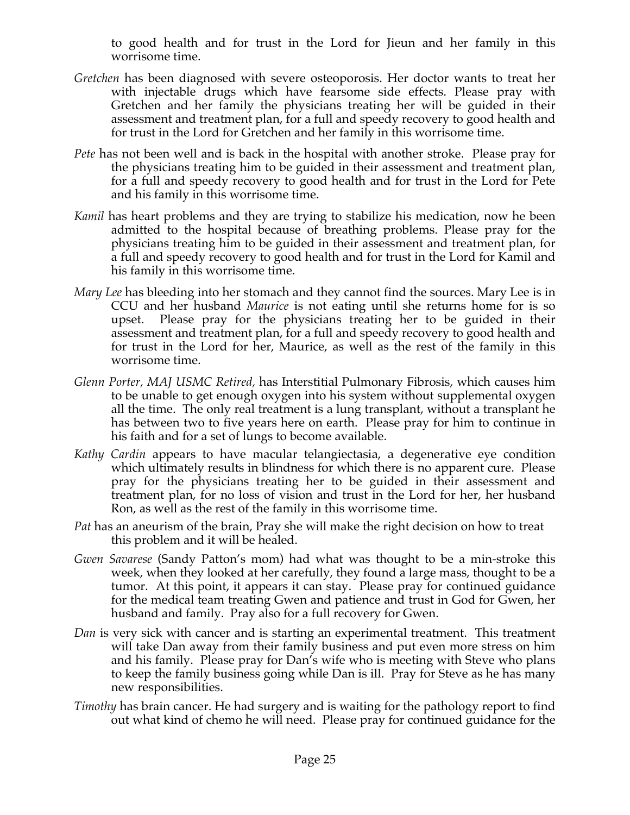to good health and for trust in the Lord for Jieun and her family in this worrisome time.

- *Gretchen* has been diagnosed with severe osteoporosis. Her doctor wants to treat her with injectable drugs which have fearsome side effects. Please pray with Gretchen and her family the physicians treating her will be guided in their assessment and treatment plan, for a full and speedy recovery to good health and for trust in the Lord for Gretchen and her family in this worrisome time.
- *Pete* has not been well and is back in the hospital with another stroke. Please pray for the physicians treating him to be guided in their assessment and treatment plan, for a full and speedy recovery to good health and for trust in the Lord for Pete and his family in this worrisome time.
- *Kamil* has heart problems and they are trying to stabilize his medication, now he been admitted to the hospital because of breathing problems. Please pray for the physicians treating him to be guided in their assessment and treatment plan, for a full and speedy recovery to good health and for trust in the Lord for Kamil and his family in this worrisome time.
- *Mary Lee* has bleeding into her stomach and they cannot find the sources. Mary Lee is in CCU and her husband *Maurice* is not eating until she returns home for is so upset. Please pray for the physicians treating her to be guided in their assessment and treatment plan, for a full and speedy recovery to good health and for trust in the Lord for her, Maurice, as well as the rest of the family in this worrisome time.
- *Glenn Porter, MAJ USMC Retired,* has Interstitial Pulmonary Fibrosis, which causes him to be unable to get enough oxygen into his system without supplemental oxygen all the time. The only real treatment is a lung transplant, without a transplant he has between two to five years here on earth. Please pray for him to continue in his faith and for a set of lungs to become available.
- *Kathy Cardin* appears to have macular telangiectasia, a degenerative eye condition which ultimately results in blindness for which there is no apparent cure. Please pray for the physicians treating her to be guided in their assessment and treatment plan, for no loss of vision and trust in the Lord for her, her husband Ron, as well as the rest of the family in this worrisome time.
- *Pat* has an aneurism of the brain, Pray she will make the right decision on how to treat this problem and it will be healed.
- *Gwen Savarese* (Sandy Patton's mom) had what was thought to be a min-stroke this week, when they looked at her carefully, they found a large mass, thought to be a tumor. At this point, it appears it can stay. Please pray for continued guidance for the medical team treating Gwen and patience and trust in God for Gwen, her husband and family. Pray also for a full recovery for Gwen.
- *Dan* is very sick with cancer and is starting an experimental treatment. This treatment will take Dan away from their family business and put even more stress on him and his family. Please pray for Dan's wife who is meeting with Steve who plans to keep the family business going while Dan is ill. Pray for Steve as he has many new responsibilities.
- *Timothy* has brain cancer. He had surgery and is waiting for the pathology report to find out what kind of chemo he will need. Please pray for continued guidance for the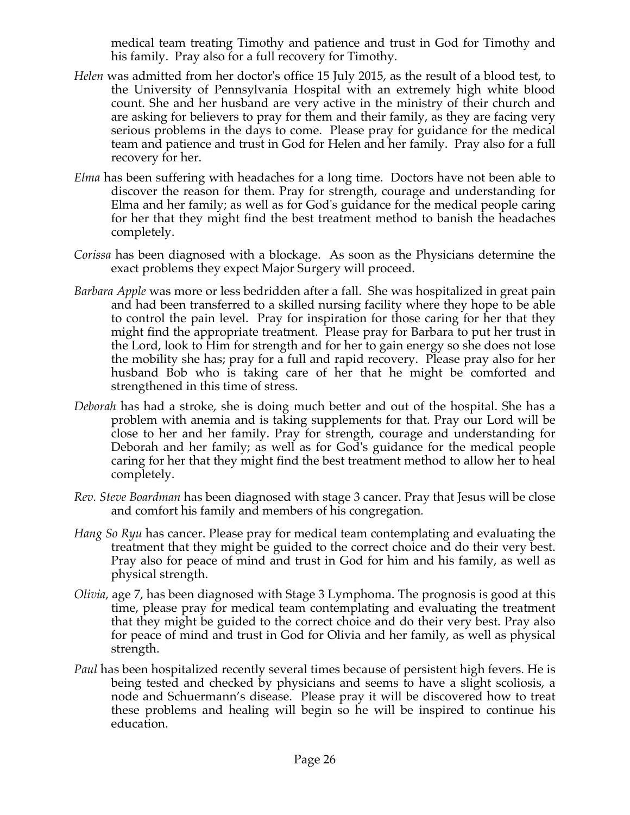medical team treating Timothy and patience and trust in God for Timothy and his family. Pray also for a full recovery for Timothy.

- *Helen* was admitted from her doctor's office 15 July 2015, as the result of a blood test, to the University of Pennsylvania Hospital with an extremely high white blood count. She and her husband are very active in the ministry of their church and are asking for believers to pray for them and their family, as they are facing very serious problems in the days to come. Please pray for guidance for the medical team and patience and trust in God for Helen and her family. Pray also for a full recovery for her.
- *Elma* has been suffering with headaches for a long time. Doctors have not been able to discover the reason for them. Pray for strength, courage and understanding for Elma and her family; as well as for God's guidance for the medical people caring for her that they might find the best treatment method to banish the headaches completely.
- *Corissa* has been diagnosed with a blockage. As soon as the Physicians determine the exact problems they expect Major Surgery will proceed.
- *Barbara Apple* was more or less bedridden after a fall. She was hospitalized in great pain and had been transferred to a skilled nursing facility where they hope to be able to control the pain level. Pray for inspiration for those caring for her that they might find the appropriate treatment. Please pray for Barbara to put her trust in the Lord, look to Him for strength and for her to gain energy so she does not lose the mobility she has; pray for a full and rapid recovery. Please pray also for her husband Bob who is taking care of her that he might be comforted and strengthened in this time of stress.
- *Deborah* has had a stroke, she is doing much better and out of the hospital. She has a problem with anemia and is taking supplements for that. Pray our Lord will be close to her and her family. Pray for strength, courage and understanding for Deborah and her family; as well as for God's guidance for the medical people caring for her that they might find the best treatment method to allow her to heal completely.
- *Rev. Steve Boardman* has been diagnosed with stage 3 cancer. Pray that Jesus will be close and comfort his family and members of his congregation*.*
- *Hang So Ryu* has cancer. Please pray for medical team contemplating and evaluating the treatment that they might be guided to the correct choice and do their very best. Pray also for peace of mind and trust in God for him and his family, as well as physical strength.
- *Olivia,* age 7, has been diagnosed with Stage 3 Lymphoma. The prognosis is good at this time, please pray for medical team contemplating and evaluating the treatment that they might be guided to the correct choice and do their very best. Pray also for peace of mind and trust in God for Olivia and her family, as well as physical strength.
- *Paul* has been hospitalized recently several times because of persistent high fevers. He is being tested and checked by physicians and seems to have a slight scoliosis, a node and Schuermann's disease. Please pray it will be discovered how to treat these problems and healing will begin so he will be inspired to continue his education.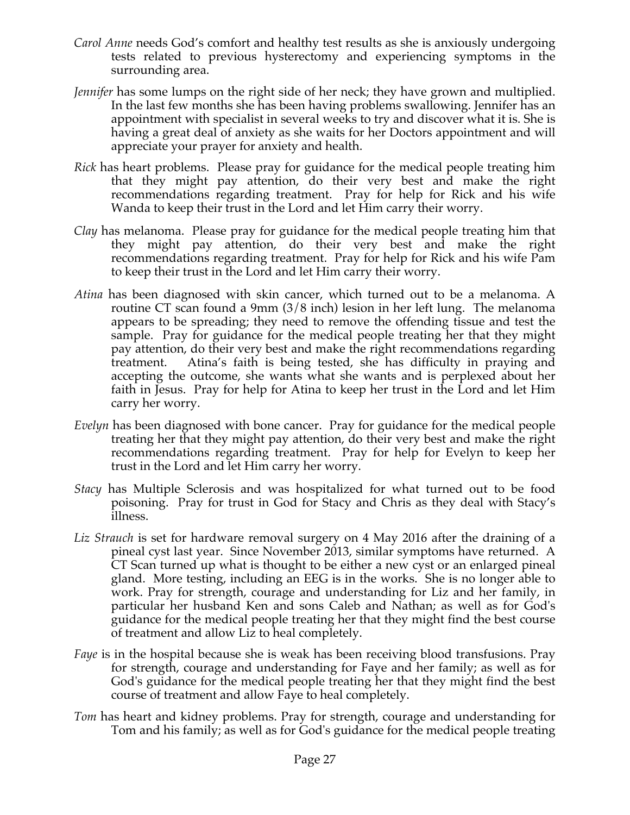- *Carol Anne* needs God's comfort and healthy test results as she is anxiously undergoing tests related to previous hysterectomy and experiencing symptoms in the surrounding area.
- *Jennifer* has some lumps on the right side of her neck; they have grown and multiplied. In the last few months she has been having problems swallowing. Jennifer has an appointment with specialist in several weeks to try and discover what it is. She is having a great deal of anxiety as she waits for her Doctors appointment and will appreciate your prayer for anxiety and health.
- *Rick* has heart problems. Please pray for guidance for the medical people treating him that they might pay attention, do their very best and make the right recommendations regarding treatment. Pray for help for Rick and his wife Wanda to keep their trust in the Lord and let Him carry their worry.
- *Clay* has melanoma. Please pray for guidance for the medical people treating him that they might pay attention, do their very best and make the right recommendations regarding treatment. Pray for help for Rick and his wife Pam to keep their trust in the Lord and let Him carry their worry.
- *Atina* has been diagnosed with skin cancer, which turned out to be a melanoma. A routine CT scan found a 9mm (3/8 inch) lesion in her left lung. The melanoma appears to be spreading; they need to remove the offending tissue and test the sample. Pray for guidance for the medical people treating her that they might pay attention, do their very best and make the right recommendations regarding treatment. Atina's faith is being tested, she has difficulty in praying and accepting the outcome, she wants what she wants and is perplexed about her faith in Jesus. Pray for help for Atina to keep her trust in the Lord and let Him carry her worry.
- *Evelyn* has been diagnosed with bone cancer. Pray for guidance for the medical people treating her that they might pay attention, do their very best and make the right recommendations regarding treatment. Pray for help for Evelyn to keep her trust in the Lord and let Him carry her worry.
- *Stacy* has Multiple Sclerosis and was hospitalized for what turned out to be food poisoning. Pray for trust in God for Stacy and Chris as they deal with Stacy's illness.
- Liz *Strauch* is set for hardware removal surgery on 4 May 2016 after the draining of a pineal cyst last year. Since November 2013, similar symptoms have returned. A CT Scan turned up what is thought to be either a new cyst or an enlarged pineal gland. More testing, including an EEG is in the works. She is no longer able to work. Pray for strength, courage and understanding for Liz and her family, in particular her husband Ken and sons Caleb and Nathan; as well as for God's guidance for the medical people treating her that they might find the best course of treatment and allow Liz to heal completely.
- *Faye* is in the hospital because she is weak has been receiving blood transfusions. Pray for strength, courage and understanding for Faye and her family; as well as for God's guidance for the medical people treating her that they might find the best course of treatment and allow Faye to heal completely.
- *Tom* has heart and kidney problems. Pray for strength, courage and understanding for Tom and his family; as well as for God's guidance for the medical people treating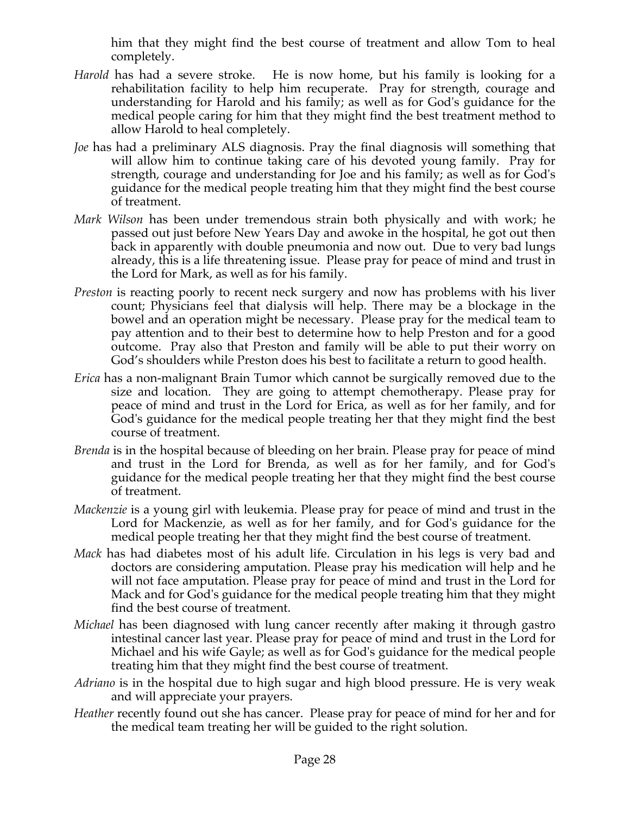him that they might find the best course of treatment and allow Tom to heal completely.

- *Harold* has had a severe stroke. He is now home, but his family is looking for a rehabilitation facility to help him recuperate. Pray for strength, courage and understanding for Harold and his family; as well as for God's guidance for the medical people caring for him that they might find the best treatment method to allow Harold to heal completely.
- *Joe* has had a preliminary ALS diagnosis. Pray the final diagnosis will something that will allow him to continue taking care of his devoted young family. Pray for strength, courage and understanding for Joe and his family; as well as for God's guidance for the medical people treating him that they might find the best course of treatment.
- *Mark Wilson* has been under tremendous strain both physically and with work; he passed out just before New Years Day and awoke in the hospital, he got out then back in apparently with double pneumonia and now out. Due to very bad lungs already, this is a life threatening issue. Please pray for peace of mind and trust in the Lord for Mark, as well as for his family.
- *Preston* is reacting poorly to recent neck surgery and now has problems with his liver count; Physicians feel that dialysis will help. There may be a blockage in the bowel and an operation might be necessary. Please pray for the medical team to pay attention and to their best to determine how to help Preston and for a good outcome. Pray also that Preston and family will be able to put their worry on God's shoulders while Preston does his best to facilitate a return to good health.
- *Erica* has a non-malignant Brain Tumor which cannot be surgically removed due to the size and location. They are going to attempt chemotherapy. Please pray for peace of mind and trust in the Lord for Erica, as well as for her family, and for God's guidance for the medical people treating her that they might find the best course of treatment.
- *Brenda* is in the hospital because of bleeding on her brain. Please pray for peace of mind and trust in the Lord for Brenda, as well as for her family, and for God's guidance for the medical people treating her that they might find the best course of treatment.
- *Mackenzie* is a young girl with leukemia. Please pray for peace of mind and trust in the Lord for Mackenzie, as well as for her family, and for God's guidance for the medical people treating her that they might find the best course of treatment.
- *Mack* has had diabetes most of his adult life. Circulation in his legs is very bad and doctors are considering amputation. Please pray his medication will help and he will not face amputation. Please pray for peace of mind and trust in the Lord for Mack and for God's guidance for the medical people treating him that they might find the best course of treatment.
- *Michael* has been diagnosed with lung cancer recently after making it through gastro intestinal cancer last year. Please pray for peace of mind and trust in the Lord for Michael and his wife Gayle; as well as for God's guidance for the medical people treating him that they might find the best course of treatment.
- *Adriano* is in the hospital due to high sugar and high blood pressure. He is very weak and will appreciate your prayers.
- *Heather* recently found out she has cancer. Please pray for peace of mind for her and for the medical team treating her will be guided to the right solution.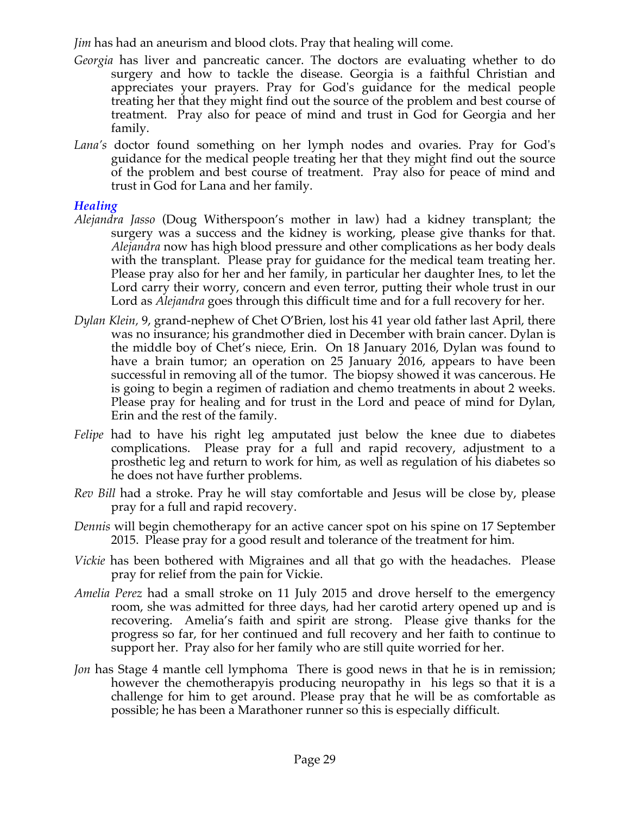*Jim* has had an aneurism and blood clots. Pray that healing will come.

- *Georgia* has liver and pancreatic cancer. The doctors are evaluating whether to do surgery and how to tackle the disease. Georgia is a faithful Christian and appreciates your prayers. Pray for God's guidance for the medical people treating her that they might find out the source of the problem and best course of treatment. Pray also for peace of mind and trust in God for Georgia and her family.
- *Lana's* doctor found something on her lymph nodes and ovaries. Pray for God's guidance for the medical people treating her that they might find out the source of the problem and best course of treatment. Pray also for peace of mind and trust in God for Lana and her family.

## *Healing*

- *Alejandra Jasso* (Doug Witherspoon's mother in law) had a kidney transplant; the surgery was a success and the kidney is working, please give thanks for that. *Alejandra* now has high blood pressure and other complications as her body deals with the transplant. Please pray for guidance for the medical team treating her. Please pray also for her and her family, in particular her daughter Ines, to let the Lord carry their worry, concern and even terror, putting their whole trust in our Lord as *Alejandra* goes through this difficult time and for a full recovery for her.
- *Dylan Klein,* 9, grand-nephew of Chet O'Brien, lost his 41 year old father last April, there was no insurance; his grandmother died in December with brain cancer. Dylan is the middle boy of Chet's niece, Erin. On 18 January 2016, Dylan was found to have a brain tumor; an operation on 25 January 2016, appears to have been successful in removing all of the tumor. The biopsy showed it was cancerous. He is going to begin a regimen of radiation and chemo treatments in about 2 weeks. Please pray for healing and for trust in the Lord and peace of mind for Dylan, Erin and the rest of the family.
- *Felipe* had to have his right leg amputated just below the knee due to diabetes complications. Please pray for a full and rapid recovery, adjustment to a prosthetic leg and return to work for him, as well as regulation of his diabetes so he does not have further problems.
- *Rev Bill* had a stroke. Pray he will stay comfortable and Jesus will be close by, please pray for a full and rapid recovery.
- *Dennis* will begin chemotherapy for an active cancer spot on his spine on 17 September 2015. Please pray for a good result and tolerance of the treatment for him.
- *Vickie* has been bothered with Migraines and all that go with the headaches. Please pray for relief from the pain for Vickie.
- *Amelia Perez* had a small stroke on 11 July 2015 and drove herself to the emergency room, she was admitted for three days, had her carotid artery opened up and is recovering. Amelia's faith and spirit are strong. Please give thanks for the progress so far, for her continued and full recovery and her faith to continue to support her. Pray also for her family who are still quite worried for her.
- *Jon* has Stage 4 mantle cell lymphoma There is good news in that he is in remission; however the chemotherapyis producing neuropathy in his legs so that it is a challenge for him to get around. Please pray that he will be as comfortable as possible; he has been a Marathoner runner so this is especially difficult.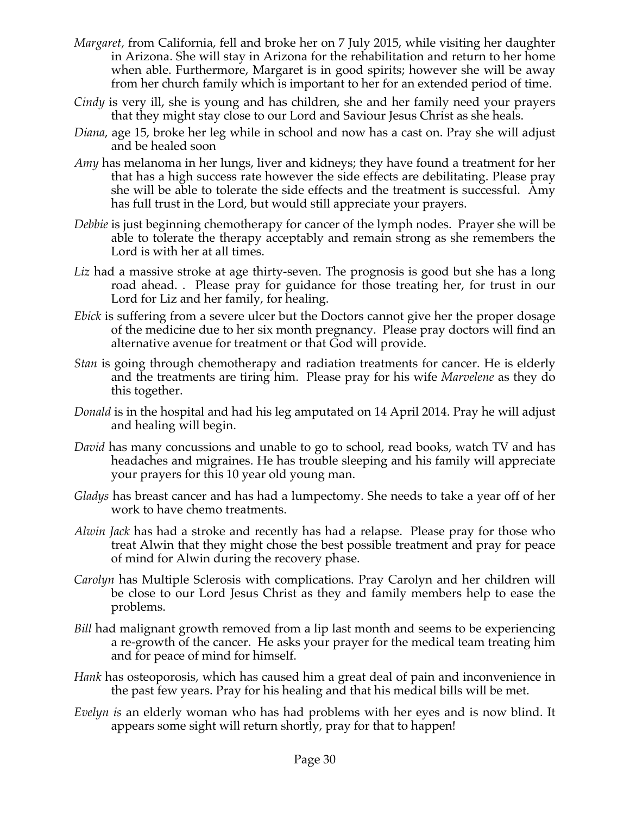- *Margaret,* from California, fell and broke her on 7 July 2015, while visiting her daughter in Arizona. She will stay in Arizona for the rehabilitation and return to her home when able. Furthermore, Margaret is in good spirits; however she will be away from her church family which is important to her for an extended period of time.
- *Cindy* is very ill, she is young and has children, she and her family need your prayers that they might stay close to our Lord and Saviour Jesus Christ as she heals.
- *Diana*, age 15, broke her leg while in school and now has a cast on. Pray she will adjust and be healed soon
- *Amy* has melanoma in her lungs, liver and kidneys; they have found a treatment for her that has a high success rate however the side effects are debilitating. Please pray she will be able to tolerate the side effects and the treatment is successful. Amy has full trust in the Lord, but would still appreciate your prayers.
- *Debbie* is just beginning chemotherapy for cancer of the lymph nodes. Prayer she will be able to tolerate the therapy acceptably and remain strong as she remembers the Lord is with her at all times.
- *Liz* had a massive stroke at age thirty-seven. The prognosis is good but she has a long road ahead. . Please pray for guidance for those treating her, for trust in our Lord for Liz and her family, for healing.
- *Ebick* is suffering from a severe ulcer but the Doctors cannot give her the proper dosage of the medicine due to her six month pregnancy. Please pray doctors will find an alternative avenue for treatment or that God will provide.
- *Stan* is going through chemotherapy and radiation treatments for cancer. He is elderly and the treatments are tiring him. Please pray for his wife *Marvelene* as they do this together.
- *Donald* is in the hospital and had his leg amputated on 14 April 2014. Pray he will adjust and healing will begin.
- *David* has many concussions and unable to go to school, read books, watch TV and has headaches and migraines. He has trouble sleeping and his family will appreciate your prayers for this 10 year old young man.
- *Gladys* has breast cancer and has had a lumpectomy. She needs to take a year off of her work to have chemo treatments.
- *Alwin Jack* has had a stroke and recently has had a relapse. Please pray for those who treat Alwin that they might chose the best possible treatment and pray for peace of mind for Alwin during the recovery phase.
- *Carolyn* has Multiple Sclerosis with complications. Pray Carolyn and her children will be close to our Lord Jesus Christ as they and family members help to ease the problems.
- *Bill* had malignant growth removed from a lip last month and seems to be experiencing a re-growth of the cancer. He asks your prayer for the medical team treating him and for peace of mind for himself.
- *Hank* has osteoporosis, which has caused him a great deal of pain and inconvenience in the past few years. Pray for his healing and that his medical bills will be met.
- *Evelyn is* an elderly woman who has had problems with her eyes and is now blind. It appears some sight will return shortly, pray for that to happen!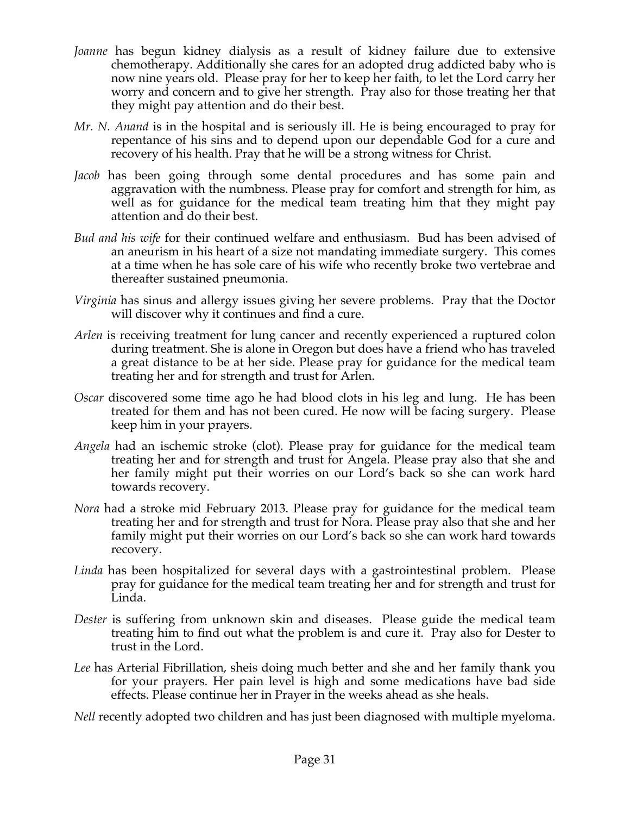- *Joanne* has begun kidney dialysis as a result of kidney failure due to extensive chemotherapy. Additionally she cares for an adopted drug addicted baby who is now nine years old. Please pray for her to keep her faith, to let the Lord carry her worry and concern and to give her strength. Pray also for those treating her that they might pay attention and do their best.
- *Mr. N. Anand* is in the hospital and is seriously ill. He is being encouraged to pray for repentance of his sins and to depend upon our dependable God for a cure and recovery of his health. Pray that he will be a strong witness for Christ.
- *Jacob* has been going through some dental procedures and has some pain and aggravation with the numbness. Please pray for comfort and strength for him, as well as for guidance for the medical team treating him that they might pay attention and do their best.
- *Bud and his wife* for their continued welfare and enthusiasm. Bud has been advised of an aneurism in his heart of a size not mandating immediate surgery. This comes at a time when he has sole care of his wife who recently broke two vertebrae and thereafter sustained pneumonia.
- *Virginia* has sinus and allergy issues giving her severe problems. Pray that the Doctor will discover why it continues and find a cure.
- *Arlen* is receiving treatment for lung cancer and recently experienced a ruptured colon during treatment. She is alone in Oregon but does have a friend who has traveled a great distance to be at her side. Please pray for guidance for the medical team treating her and for strength and trust for Arlen.
- *Oscar* discovered some time ago he had blood clots in his leg and lung. He has been treated for them and has not been cured. He now will be facing surgery. Please keep him in your prayers.
- *Angela* had an ischemic stroke (clot). Please pray for guidance for the medical team treating her and for strength and trust for Angela. Please pray also that she and her family might put their worries on our Lord's back so she can work hard towards recovery.
- *Nora* had a stroke mid February 2013. Please pray for guidance for the medical team treating her and for strength and trust for Nora. Please pray also that she and her family might put their worries on our Lord's back so she can work hard towards recovery.
- *Linda* has been hospitalized for several days with a gastrointestinal problem. Please pray for guidance for the medical team treating her and for strength and trust for Linda.
- *Dester* is suffering from unknown skin and diseases. Please guide the medical team treating him to find out what the problem is and cure it. Pray also for Dester to trust in the Lord.
- *Lee* has Arterial Fibrillation, sheis doing much better and she and her family thank you for your prayers. Her pain level is high and some medications have bad side effects. Please continue her in Prayer in the weeks ahead as she heals.

*Nell* recently adopted two children and has just been diagnosed with multiple myeloma.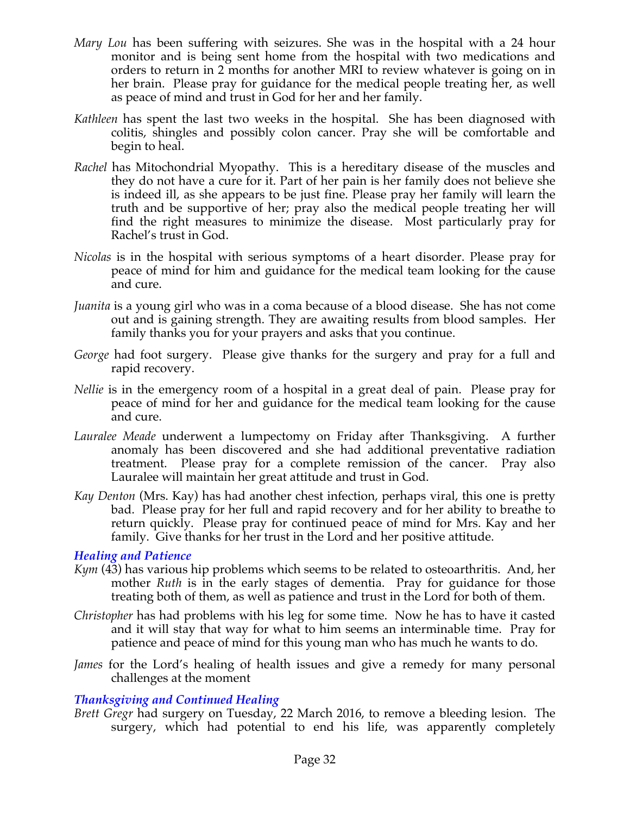- *Mary Lou* has been suffering with seizures. She was in the hospital with a 24 hour monitor and is being sent home from the hospital with two medications and orders to return in 2 months for another MRI to review whatever is going on in her brain. Please pray for guidance for the medical people treating her, as well as peace of mind and trust in God for her and her family.
- *Kathleen* has spent the last two weeks in the hospital. She has been diagnosed with colitis, shingles and possibly colon cancer. Pray she will be comfortable and begin to heal.
- *Rachel* has Mitochondrial Myopathy. This is a hereditary disease of the muscles and they do not have a cure for it. Part of her pain is her family does not believe she is indeed ill, as she appears to be just fine. Please pray her family will learn the truth and be supportive of her; pray also the medical people treating her will find the right measures to minimize the disease. Most particularly pray for Rachel's trust in God.
- *Nicolas* is in the hospital with serious symptoms of a heart disorder. Please pray for peace of mind for him and guidance for the medical team looking for the cause and cure.
- *Juanita* is a young girl who was in a coma because of a blood disease. She has not come out and is gaining strength. They are awaiting results from blood samples. Her family thanks you for your prayers and asks that you continue.
- *George* had foot surgery. Please give thanks for the surgery and pray for a full and rapid recovery.
- *Nellie* is in the emergency room of a hospital in a great deal of pain. Please pray for peace of mind for her and guidance for the medical team looking for the cause and cure.
- *Lauralee Meade* underwent a lumpectomy on Friday after Thanksgiving. A further anomaly has been discovered and she had additional preventative radiation treatment. Please pray for a complete remission of the cancer. Pray also Lauralee will maintain her great attitude and trust in God.
- *Kay Denton* (Mrs. Kay) has had another chest infection, perhaps viral, this one is pretty bad. Please pray for her full and rapid recovery and for her ability to breathe to return quickly. Please pray for continued peace of mind for Mrs. Kay and her family. Give thanks for her trust in the Lord and her positive attitude.

#### *Healing and Patience*

- *Kym* (43) has various hip problems which seems to be related to osteoarthritis. And, her mother *Ruth* is in the early stages of dementia. Pray for guidance for those treating both of them, as well as patience and trust in the Lord for both of them.
- *Christopher* has had problems with his leg for some time. Now he has to have it casted and it will stay that way for what to him seems an interminable time. Pray for patience and peace of mind for this young man who has much he wants to do.
- *James* for the Lord's healing of health issues and give a remedy for many personal challenges at the moment

# *Thanksgiving and Continued Healing*

*Brett Gregr* had surgery on Tuesday, 22 March 2016, to remove a bleeding lesion. The surgery, which had potential to end his life, was apparently completely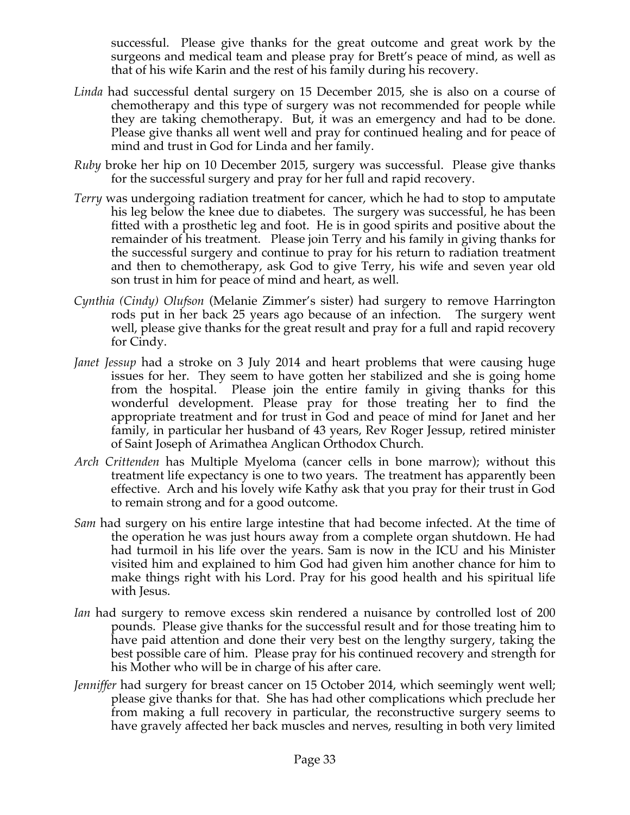successful. Please give thanks for the great outcome and great work by the surgeons and medical team and please pray for Brett's peace of mind, as well as that of his wife Karin and the rest of his family during his recovery.

- *Linda* had successful dental surgery on 15 December 2015, she is also on a course of chemotherapy and this type of surgery was not recommended for people while they are taking chemotherapy. But, it was an emergency and had to be done. Please give thanks all went well and pray for continued healing and for peace of mind and trust in God for Linda and her family.
- *Ruby* broke her hip on 10 December 2015, surgery was successful. Please give thanks for the successful surgery and pray for her full and rapid recovery.
- *Terry* was undergoing radiation treatment for cancer, which he had to stop to amputate his leg below the knee due to diabetes. The surgery was successful, he has been fitted with a prosthetic leg and foot. He is in good spirits and positive about the remainder of his treatment. Please join Terry and his family in giving thanks for the successful surgery and continue to pray for his return to radiation treatment and then to chemotherapy, ask God to give Terry, his wife and seven year old son trust in him for peace of mind and heart, as well.
- *Cynthia (Cindy) Olufson* (Melanie Zimmer's sister) had surgery to remove Harrington rods put in her back 25 years ago because of an infection. The surgery went well, please give thanks for the great result and pray for a full and rapid recovery for Cindy.
- *Janet Jessup* had a stroke on 3 July 2014 and heart problems that were causing huge issues for her. They seem to have gotten her stabilized and she is going home from the hospital. Please join the entire family in giving thanks for this wonderful development. Please pray for those treating her to find the appropriate treatment and for trust in God and peace of mind for Janet and her family, in particular her husband of 43 years, Rev Roger Jessup, retired minister of Saint Joseph of Arimathea Anglican Orthodox Church.
- *Arch Crittenden* has Multiple Myeloma (cancer cells in bone marrow); without this treatment life expectancy is one to two years. The treatment has apparently been effective. Arch and his lovely wife Kathy ask that you pray for their trust in God to remain strong and for a good outcome.
- *Sam* had surgery on his entire large intestine that had become infected. At the time of the operation he was just hours away from a complete organ shutdown. He had had turmoil in his life over the years. Sam is now in the ICU and his Minister visited him and explained to him God had given him another chance for him to make things right with his Lord. Pray for his good health and his spiritual life with Jesus.
- *Ian* had surgery to remove excess skin rendered a nuisance by controlled lost of 200 pounds. Please give thanks for the successful result and for those treating him to have paid attention and done their very best on the lengthy surgery, taking the best possible care of him. Please pray for his continued recovery and strength for his Mother who will be in charge of his after care.
- *Jenniffer* had surgery for breast cancer on 15 October 2014, which seemingly went well; please give thanks for that. She has had other complications which preclude her from making a full recovery in particular, the reconstructive surgery seems to have gravely affected her back muscles and nerves, resulting in both very limited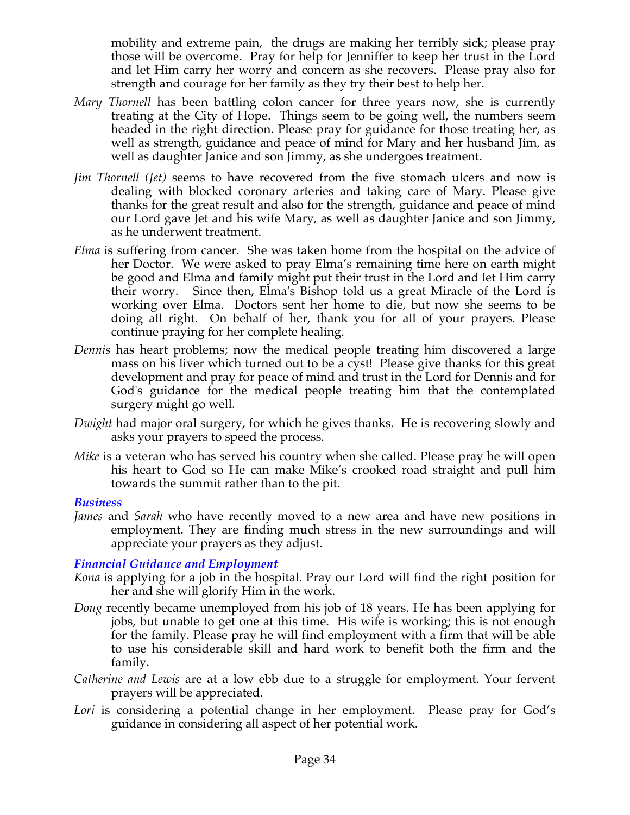mobility and extreme pain, the drugs are making her terribly sick; please pray those will be overcome. Pray for help for Jenniffer to keep her trust in the Lord and let Him carry her worry and concern as she recovers. Please pray also for strength and courage for her family as they try their best to help her.

- *Mary Thornell* has been battling colon cancer for three years now, she is currently treating at the City of Hope. Things seem to be going well, the numbers seem headed in the right direction. Please pray for guidance for those treating her, as well as strength, guidance and peace of mind for Mary and her husband Jim, as well as daughter Janice and son Jimmy, as she undergoes treatment.
- *Jim Thornell (Jet)* seems to have recovered from the five stomach ulcers and now is dealing with blocked coronary arteries and taking care of Mary. Please give thanks for the great result and also for the strength, guidance and peace of mind our Lord gave Jet and his wife Mary, as well as daughter Janice and son Jimmy, as he underwent treatment.
- *Elma* is suffering from cancer. She was taken home from the hospital on the advice of her Doctor. We were asked to pray Elma's remaining time here on earth might be good and Elma and family might put their trust in the Lord and let Him carry their worry. Since then, Elma's Bishop told us a great Miracle of the Lord is working over Elma. Doctors sent her home to die, but now she seems to be doing all right. On behalf of her, thank you for all of your prayers. Please continue praying for her complete healing.
- *Dennis* has heart problems; now the medical people treating him discovered a large mass on his liver which turned out to be a cyst! Please give thanks for this great development and pray for peace of mind and trust in the Lord for Dennis and for God's guidance for the medical people treating him that the contemplated surgery might go well.
- *Dwight* had major oral surgery, for which he gives thanks. He is recovering slowly and asks your prayers to speed the process.
- *Mike* is a veteran who has served his country when she called. Please pray he will open his heart to God so He can make Mike's crooked road straight and pull him towards the summit rather than to the pit.

#### *Business*

*James* and *Sarah* who have recently moved to a new area and have new positions in employment. They are finding much stress in the new surroundings and will appreciate your prayers as they adjust.

#### *Financial Guidance and Employment*

- *Kona* is applying for a job in the hospital. Pray our Lord will find the right position for her and she will glorify Him in the work.
- *Doug* recently became unemployed from his job of 18 years. He has been applying for jobs, but unable to get one at this time. His wife is working; this is not enough for the family. Please pray he will find employment with a firm that will be able to use his considerable skill and hard work to benefit both the firm and the family.
- *Catherine and Lewis* are at a low ebb due to a struggle for employment. Your fervent prayers will be appreciated.
- Lori is considering a potential change in her employment. Please pray for God's guidance in considering all aspect of her potential work.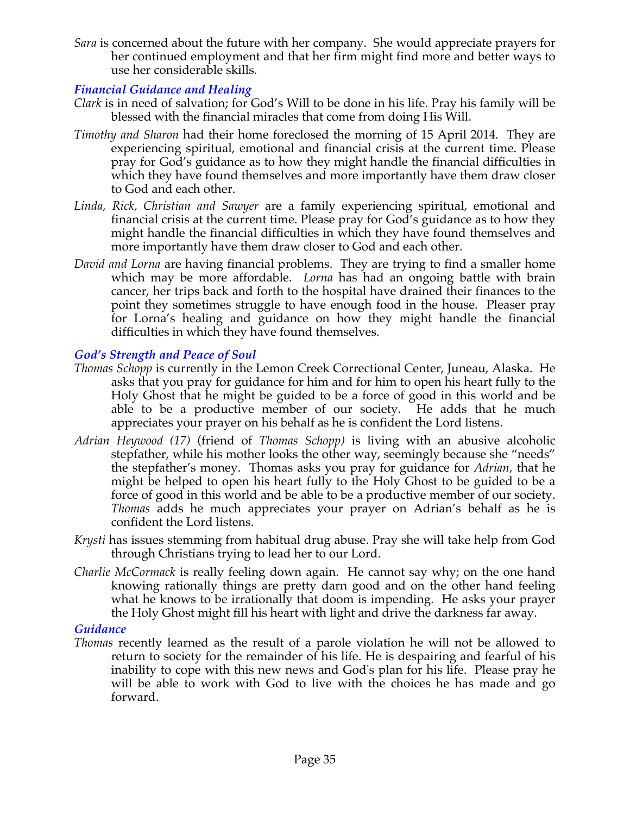*Sara* is concerned about the future with her company. She would appreciate prayers for her continued employment and that her firm might find more and better ways to use her considerable skills.

## *Financial Guidance and Healing*

- *Clark* is in need of salvation; for God's Will to be done in his life. Pray his family will be blessed with the financial miracles that come from doing His Will.
- *Timothy and Sharon* had their home foreclosed the morning of 15 April 2014. They are experiencing spiritual, emotional and financial crisis at the current time. Please pray for God's guidance as to how they might handle the financial difficulties in which they have found themselves and more importantly have them draw closer to God and each other.
- *Linda, Rick, Christian and Sawyer* are a family experiencing spiritual, emotional and financial crisis at the current time. Please pray for God's guidance as to how they might handle the financial difficulties in which they have found themselves and more importantly have them draw closer to God and each other.
- *David and Lorna* are having financial problems. They are trying to find a smaller home which may be more affordable. *Lorna* has had an ongoing battle with brain cancer, her trips back and forth to the hospital have drained their finances to the point they sometimes struggle to have enough food in the house. Pleaser pray for Lorna's healing and guidance on how they might handle the financial difficulties in which they have found themselves.

## *God's Strength and Peace of Soul*

- *Thomas Schopp* is currently in the Lemon Creek Correctional Center, Juneau, Alaska. He asks that you pray for guidance for him and for him to open his heart fully to the Holy Ghost that he might be guided to be a force of good in this world and be able to be a productive member of our society. He adds that he much appreciates your prayer on his behalf as he is confident the Lord listens.
- *Adrian Heywood (17)* (friend of *Thomas Schopp)* is living with an abusive alcoholic stepfather, while his mother looks the other way, seemingly because she "needs" the stepfather's money. Thomas asks you pray for guidance for *Adrian*, that he might be helped to open his heart fully to the Holy Ghost to be guided to be a force of good in this world and be able to be a productive member of our society. *Thomas* adds he much appreciates your prayer on Adrian's behalf as he is confident the Lord listens.
- *Krysti* has issues stemming from habitual drug abuse. Pray she will take help from God through Christians trying to lead her to our Lord.
- *Charlie McCormack* is really feeling down again. He cannot say why; on the one hand knowing rationally things are pretty darn good and on the other hand feeling what he knows to be irrationally that doom is impending. He asks your prayer the Holy Ghost might fill his heart with light and drive the darkness far away.

#### *Guidance*

*Thomas* recently learned as the result of a parole violation he will not be allowed to return to society for the remainder of his life. He is despairing and fearful of his inability to cope with this new news and God's plan for his life. Please pray he will be able to work with God to live with the choices he has made and go forward.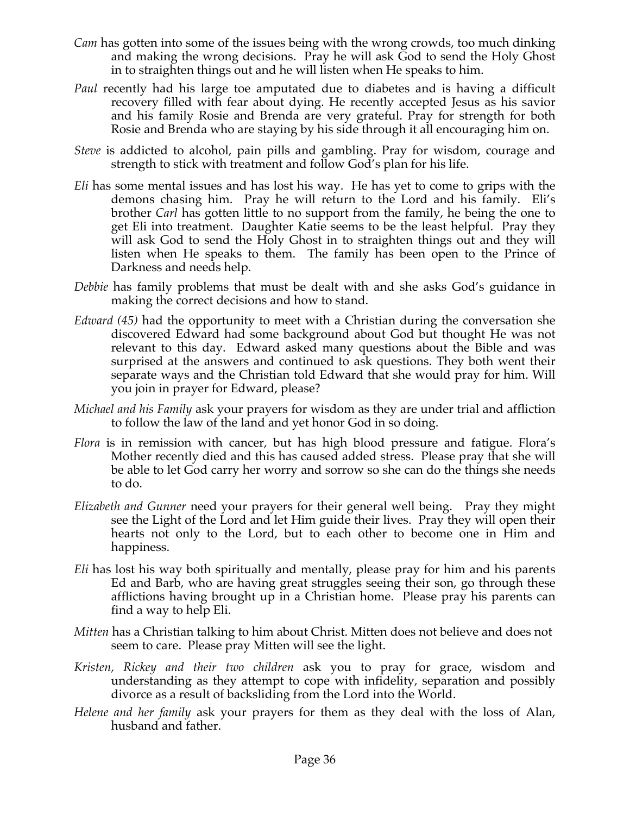- *Cam* has gotten into some of the issues being with the wrong crowds, too much dinking and making the wrong decisions. Pray he will ask God to send the Holy Ghost in to straighten things out and he will listen when He speaks to him.
- *Paul* recently had his large toe amputated due to diabetes and is having a difficult recovery filled with fear about dying. He recently accepted Jesus as his savior and his family Rosie and Brenda are very grateful. Pray for strength for both Rosie and Brenda who are staying by his side through it all encouraging him on.
- *Steve* is addicted to alcohol, pain pills and gambling. Pray for wisdom, courage and strength to stick with treatment and follow God's plan for his life.
- *Eli* has some mental issues and has lost his way. He has yet to come to grips with the demons chasing him. Pray he will return to the Lord and his family. Eli's brother *Carl* has gotten little to no support from the family, he being the one to get Eli into treatment. Daughter Katie seems to be the least helpful. Pray they will ask God to send the Holy Ghost in to straighten things out and they will listen when He speaks to them. The family has been open to the Prince of Darkness and needs help.
- *Debbie* has family problems that must be dealt with and she asks God's guidance in making the correct decisions and how to stand.
- *Edward (45)* had the opportunity to meet with a Christian during the conversation she discovered Edward had some background about God but thought He was not relevant to this day. Edward asked many questions about the Bible and was surprised at the answers and continued to ask questions. They both went their separate ways and the Christian told Edward that she would pray for him. Will you join in prayer for Edward, please?
- *Michael and his Family* ask your prayers for wisdom as they are under trial and affliction to follow the law of the land and yet honor God in so doing.
- *Flora* is in remission with cancer, but has high blood pressure and fatigue. Flora's Mother recently died and this has caused added stress. Please pray that she will be able to let God carry her worry and sorrow so she can do the things she needs to do.
- *Elizabeth and Gunner* need your prayers for their general well being. Pray they might see the Light of the Lord and let Him guide their lives. Pray they will open their hearts not only to the Lord, but to each other to become one in Him and happiness.
- *Eli* has lost his way both spiritually and mentally, please pray for him and his parents Ed and Barb, who are having great struggles seeing their son, go through these afflictions having brought up in a Christian home. Please pray his parents can find a way to help Eli.
- *Mitten* has a Christian talking to him about Christ. Mitten does not believe and does not seem to care. Please pray Mitten will see the light.
- *Kristen, Rickey and their two children* ask you to pray for grace, wisdom and understanding as they attempt to cope with infidelity, separation and possibly divorce as a result of backsliding from the Lord into the World.
- *Helene and her family* ask your prayers for them as they deal with the loss of Alan, husband and father.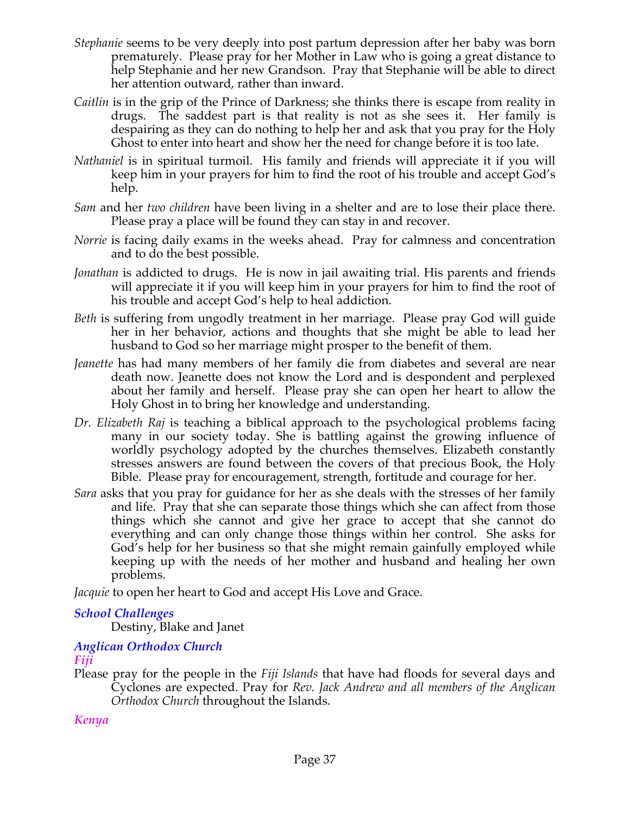- *Stephanie* seems to be very deeply into post partum depression after her baby was born prematurely. Please pray for her Mother in Law who is going a great distance to help Stephanie and her new Grandson. Pray that Stephanie will be able to direct her attention outward, rather than inward.
- *Caitlin* is in the grip of the Prince of Darkness; she thinks there is escape from reality in drugs. The saddest part is that reality is not as she sees it. Her family is despairing as they can do nothing to help her and ask that you pray for the Holy Ghost to enter into heart and show her the need for change before it is too late.
- *Nathaniel* is in spiritual turmoil. His family and friends will appreciate it if you will keep him in your prayers for him to find the root of his trouble and accept God's help.
- *Sam* and her *two children* have been living in a shelter and are to lose their place there. Please pray a place will be found they can stay in and recover.
- *Norrie* is facing daily exams in the weeks ahead. Pray for calmness and concentration and to do the best possible.
- *Jonathan* is addicted to drugs. He is now in jail awaiting trial. His parents and friends will appreciate it if you will keep him in your prayers for him to find the root of his trouble and accept God's help to heal addiction.
- *Beth* is suffering from ungodly treatment in her marriage. Please pray God will guide her in her behavior, actions and thoughts that she might be able to lead her husband to God so her marriage might prosper to the benefit of them.
- *Jeanette* has had many members of her family die from diabetes and several are near death now. Jeanette does not know the Lord and is despondent and perplexed about her family and herself. Please pray she can open her heart to allow the Holy Ghost in to bring her knowledge and understanding.
- *Dr. Elizabeth Raj* is teaching a biblical approach to the psychological problems facing many in our society today. She is battling against the growing influence of worldly psychology adopted by the churches themselves. Elizabeth constantly stresses answers are found between the covers of that precious Book, the Holy Bible. Please pray for encouragement, strength, fortitude and courage for her.
- *Sara* asks that you pray for guidance for her as she deals with the stresses of her family and life. Pray that she can separate those things which she can affect from those things which she cannot and give her grace to accept that she cannot do everything and can only change those things within her control. She asks for God's help for her business so that she might remain gainfully employed while keeping up with the needs of her mother and husband and healing her own problems.

*Jacquie* to open her heart to God and accept His Love and Grace.

# *School Challenges*

Destiny, Blake and Janet

# *Anglican Orthodox Church*

# *Fiji*

Please pray for the people in the *Fiji Islands* that have had floods for several days and Cyclones are expected. Pray for *Rev. Jack Andrew and all members of the Anglican Orthodox Church* throughout the Islands.

# *Kenya*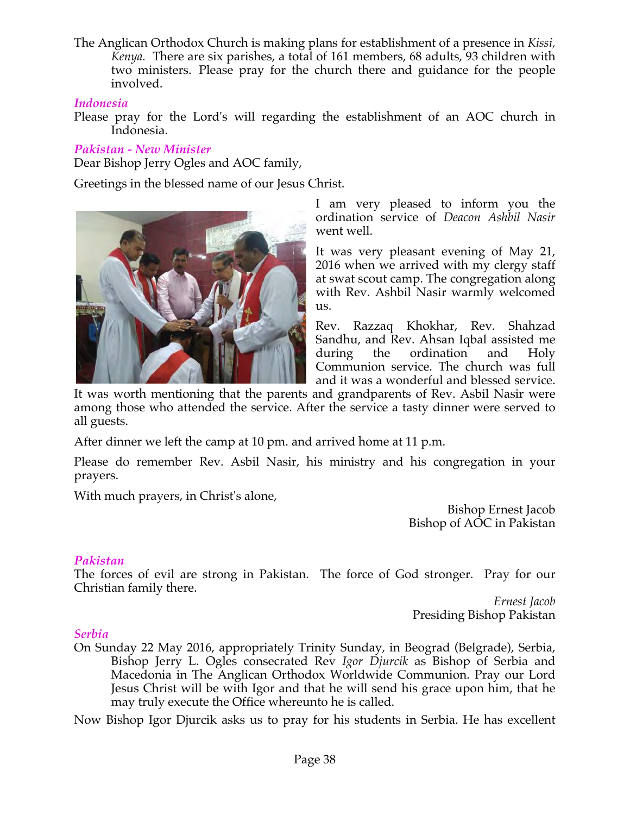The Anglican Orthodox Church is making plans for establishment of a presence in *Kissi, Kenya.* There are six parishes, a total of 161 members, 68 adults, 93 children with two ministers. Please pray for the church there and guidance for the people involved.

#### *Indonesia*

Please pray for the Lord's will regarding the establishment of an AOC church in Indonesia.

# *Pakistan - New Minister*

Dear Bishop Jerry Ogles and AOC family,

Greetings in the blessed name of our Jesus Christ.



I am very pleased to inform you the ordination service of *Deacon Ashbil Nasir* went well.

It was very pleasant evening of May 21, 2016 when we arrived with my clergy staff at swat scout camp. The congregation along with Rev. Ashbil Nasir warmly welcomed us.

Rev. Razzaq Khokhar, Rev. Shahzad Sandhu, and Rev. Ahsan Iqbal assisted me during the ordination and Holy Communion service. The church was full and it was a wonderful and blessed service.

It was worth mentioning that the parents and grandparents of Rev. Asbil Nasir were among those who attended the service. After the service a tasty dinner were served to all guests.

After dinner we left the camp at 10 pm. and arrived home at 11 p.m.

Please do remember Rev. Asbil Nasir, his ministry and his congregation in your prayers.

With much prayers, in Christ's alone,

Bishop Ernest Jacob Bishop of AOC in Pakistan

# *Pakistan*

The forces of evil are strong in Pakistan. The force of God stronger. Pray for our Christian family there.

*Ernest Jacob* Presiding Bishop Pakistan

#### *Serbia*

On Sunday 22 May 2016, appropriately Trinity Sunday, in Beograd (Belgrade), Serbia, Bishop Jerry L. Ogles consecrated Rev *Igor Djurcik* as Bishop of Serbia and Macedonia in The Anglican Orthodox Worldwide Communion. Pray our Lord Jesus Christ will be with Igor and that he will send his grace upon him, that he may truly execute the Office whereunto he is called.

Now Bishop Igor Djurcik asks us to pray for his students in Serbia. He has excellent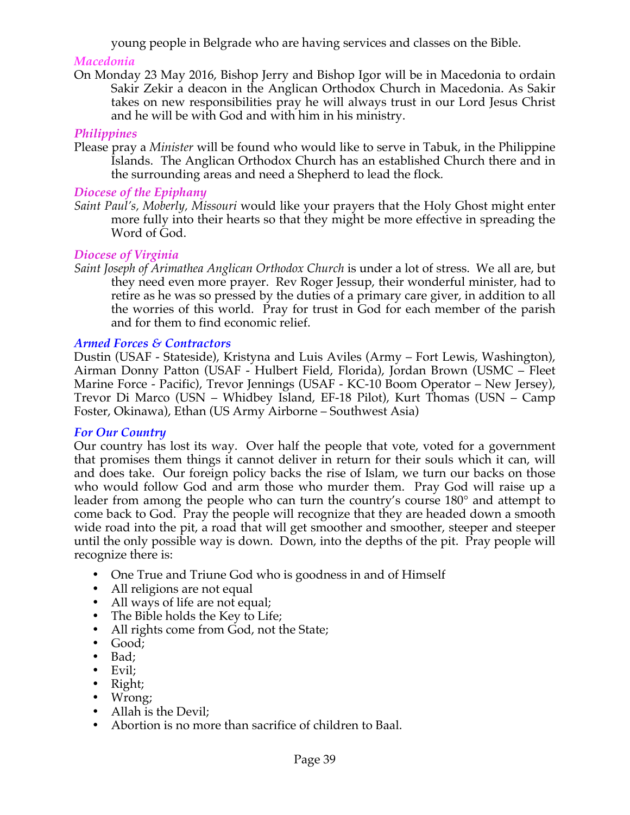young people in Belgrade who are having services and classes on the Bible.

## *Macedonia*

On Monday 23 May 2016, Bishop Jerry and Bishop Igor will be in Macedonia to ordain Sakir Zekir a deacon in the Anglican Orthodox Church in Macedonia. As Sakir takes on new responsibilities pray he will always trust in our Lord Jesus Christ and he will be with God and with him in his ministry.

## *Philippines*

Please pray a *Minister* will be found who would like to serve in Tabuk, in the Philippine Islands. The Anglican Orthodox Church has an established Church there and in the surrounding areas and need a Shepherd to lead the flock*.*

## *Diocese of the Epiphany*

*Saint Paul's, Moberly, Missouri* would like your prayers that the Holy Ghost might enter more fully into their hearts so that they might be more effective in spreading the Word of God.

## *Diocese of Virginia*

*Saint Joseph of Arimathea Anglican Orthodox Church* is under a lot of stress. We all are, but they need even more prayer. Rev Roger Jessup, their wonderful minister, had to retire as he was so pressed by the duties of a primary care giver, in addition to all the worries of this world. Pray for trust in God for each member of the parish and for them to find economic relief.

## *Armed Forces & Contractors*

Dustin (USAF - Stateside), Kristyna and Luis Aviles (Army – Fort Lewis, Washington), Airman Donny Patton (USAF - Hulbert Field, Florida), Jordan Brown (USMC – Fleet Marine Force - Pacific), Trevor Jennings (USAF - KC-10 Boom Operator – New Jersey), Trevor Di Marco (USN – Whidbey Island, EF-18 Pilot), Kurt Thomas (USN – Camp Foster, Okinawa), Ethan (US Army Airborne – Southwest Asia)

#### *For Our Country*

Our country has lost its way. Over half the people that vote, voted for a government that promises them things it cannot deliver in return for their souls which it can, will and does take. Our foreign policy backs the rise of Islam, we turn our backs on those who would follow God and arm those who murder them. Pray God will raise up a leader from among the people who can turn the country's course 180° and attempt to come back to God. Pray the people will recognize that they are headed down a smooth wide road into the pit, a road that will get smoother and smoother, steeper and steeper until the only possible way is down. Down, into the depths of the pit. Pray people will recognize there is:

- One True and Triune God who is goodness in and of Himself
- All religions are not equal
- All ways of life are not equal;
- The Bible holds the Key to Life;
- All rights come from God, not the State;
- Good;
- Bad;
- Evil:
- Right;
- Wrong;
- Allah is the Devil:
- Abortion is no more than sacrifice of children to Baal.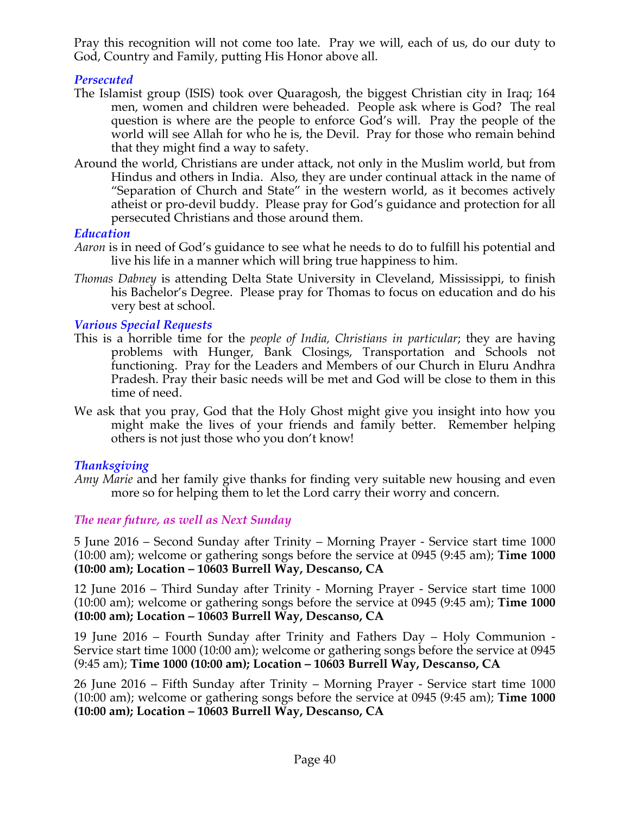Pray this recognition will not come too late. Pray we will, each of us, do our duty to God, Country and Family, putting His Honor above all.

## *Persecuted*

- The Islamist group (ISIS) took over Quaragosh, the biggest Christian city in Iraq; 164 men, women and children were beheaded. People ask where is God? The real question is where are the people to enforce God's will. Pray the people of the world will see Allah for who he is, the Devil. Pray for those who remain behind that they might find a way to safety.
- Around the world, Christians are under attack, not only in the Muslim world, but from Hindus and others in India. Also, they are under continual attack in the name of "Separation of Church and State" in the western world, as it becomes actively atheist or pro-devil buddy. Please pray for God's guidance and protection for all persecuted Christians and those around them.

#### *Education*

- *Aaron* is in need of God's guidance to see what he needs to do to fulfill his potential and live his life in a manner which will bring true happiness to him.
- *Thomas Dabney* is attending Delta State University in Cleveland, Mississippi, to finish his Bachelor's Degree. Please pray for Thomas to focus on education and do his very best at school.

#### *Various Special Requests*

- This is a horrible time for the *people of India, Christians in particular*; they are having problems with Hunger, Bank Closings, Transportation and Schools not functioning. Pray for the Leaders and Members of our Church in Eluru Andhra Pradesh. Pray their basic needs will be met and God will be close to them in this time of need.
- We ask that you pray, God that the Holy Ghost might give you insight into how you might make the lives of your friends and family better. Remember helping others is not just those who you don't know!

#### *Thanksgiving*

*Amy Marie* and her family give thanks for finding very suitable new housing and even more so for helping them to let the Lord carry their worry and concern.

#### *The near future, as well as Next Sunday*

5 June 2016 – Second Sunday after Trinity – Morning Prayer - Service start time 1000 (10:00 am); welcome or gathering songs before the service at 0945 (9:45 am); **Time 1000 (10:00 am); Location – 10603 Burrell Way, Descanso, CA**

12 June 2016 – Third Sunday after Trinity - Morning Prayer - Service start time 1000 (10:00 am); welcome or gathering songs before the service at 0945 (9:45 am); **Time 1000 (10:00 am); Location – 10603 Burrell Way, Descanso, CA**

19 June 2016 – Fourth Sunday after Trinity and Fathers Day – Holy Communion - Service start time 1000 (10:00 am); welcome or gathering songs before the service at 0945 (9:45 am); **Time 1000 (10:00 am); Location – 10603 Burrell Way, Descanso, CA**

26 June 2016 – Fifth Sunday after Trinity – Morning Prayer - Service start time 1000 (10:00 am); welcome or gathering songs before the service at 0945 (9:45 am); **Time 1000 (10:00 am); Location – 10603 Burrell Way, Descanso, CA**